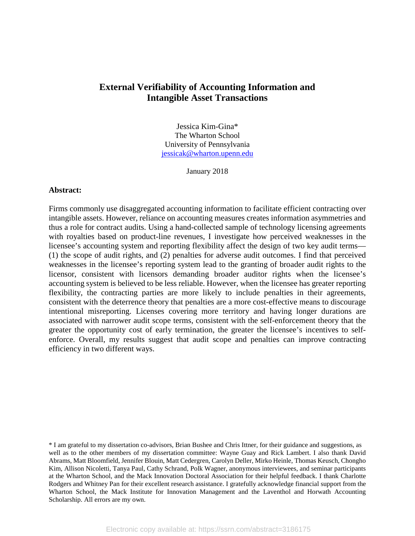# **External Verifiability of Accounting Information and Intangible Asset Transactions**

Jessica Kim-Gina\* The Wharton School University of Pennsylvania [jessicak@wharton.upenn.edu](mailto:jessicak@wharton.upenn.edu)

January 2018

# **Abstract:**

Firms commonly use disaggregated accounting information to facilitate efficient contracting over intangible assets. However, reliance on accounting measures creates information asymmetries and thus a role for contract audits. Using a hand-collected sample of technology licensing agreements with royalties based on product-line revenues, I investigate how perceived weaknesses in the licensee's accounting system and reporting flexibility affect the design of two key audit terms— (1) the scope of audit rights, and (2) penalties for adverse audit outcomes. I find that perceived weaknesses in the licensee's reporting system lead to the granting of broader audit rights to the licensor, consistent with licensors demanding broader auditor rights when the licensee's accounting system is believed to be less reliable. However, when the licensee has greater reporting flexibility, the contracting parties are more likely to include penalties in their agreements, consistent with the deterrence theory that penalties are a more cost-effective means to discourage intentional misreporting. Licenses covering more territory and having longer durations are associated with narrower audit scope terms, consistent with the self-enforcement theory that the greater the opportunity cost of early termination, the greater the licensee's incentives to selfenforce. Overall, my results suggest that audit scope and penalties can improve contracting efficiency in two different ways.

\* I am grateful to my dissertation co-advisors, Brian Bushee and Chris Ittner, for their guidance and suggestions, as well as to the other members of my dissertation committee: Wayne Guay and Rick Lambert. I also thank David Abrams, Matt Bloomfield, Jennifer Blouin, Matt Cedergren, Carolyn Deller, Mirko Heinle, Thomas Keusch, Chongho Kim, Allison Nicoletti, Tanya Paul, Cathy Schrand, Polk Wagner, anonymous interviewees, and seminar participants at the Wharton School, and the Mack Innovation Doctoral Association for their helpful feedback. I thank Charlotte Rodgers and Whitney Pan for their excellent research assistance. I gratefully acknowledge financial support from the Wharton School, the Mack Institute for Innovation Management and the Laventhol and Horwath Accounting Scholarship. All errors are my own.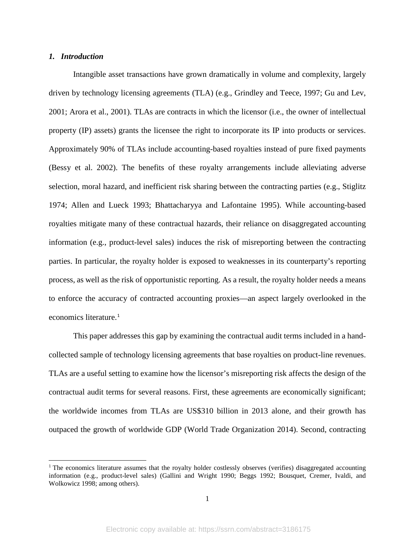## *1. Introduction*

Intangible asset transactions have grown dramatically in volume and complexity, largely driven by technology licensing agreements (TLA) (e.g., Grindley and Teece, 1997; Gu and Lev, 2001; Arora et al., 2001). TLAs are contracts in which the licensor (i.e., the owner of intellectual property (IP) assets) grants the licensee the right to incorporate its IP into products or services. Approximately 90% of TLAs include accounting-based royalties instead of pure fixed payments (Bessy et al. 2002). The benefits of these royalty arrangements include alleviating adverse selection, moral hazard, and inefficient risk sharing between the contracting parties (e.g., Stiglitz 1974; Allen and Lueck 1993; Bhattacharyya and Lafontaine 1995). While accounting-based royalties mitigate many of these contractual hazards, their reliance on disaggregated accounting information (e.g., product-level sales) induces the risk of misreporting between the contracting parties. In particular, the royalty holder is exposed to weaknesses in its counterparty's reporting process, as well as the risk of opportunistic reporting. As a result, the royalty holder needs a means to enforce the accuracy of contracted accounting proxies—an aspect largely overlooked in the economics literature.<sup>[1](#page-1-0)</sup>

This paper addresses this gap by examining the contractual audit terms included in a handcollected sample of technology licensing agreements that base royalties on product-line revenues. TLAs are a useful setting to examine how the licensor's misreporting risk affects the design of the contractual audit terms for several reasons. First, these agreements are economically significant; the worldwide incomes from TLAs are US\$310 billion in 2013 alone, and their growth has outpaced the growth of worldwide GDP (World Trade Organization 2014). Second, contracting

<span id="page-1-0"></span> $1$ <sup>1</sup> The economics literature assumes that the royalty holder costlessly observes (verifies) disaggregated accounting information (e.g., product-level sales) (Gallini and Wright 1990; Beggs 1992; Bousquet, Cremer, Ivaldi, and Wolkowicz 1998; among others).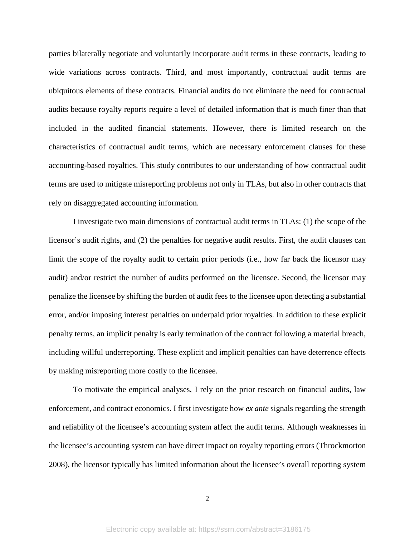parties bilaterally negotiate and voluntarily incorporate audit terms in these contracts, leading to wide variations across contracts. Third, and most importantly, contractual audit terms are ubiquitous elements of these contracts. Financial audits do not eliminate the need for contractual audits because royalty reports require a level of detailed information that is much finer than that included in the audited financial statements. However, there is limited research on the characteristics of contractual audit terms, which are necessary enforcement clauses for these accounting-based royalties. This study contributes to our understanding of how contractual audit terms are used to mitigate misreporting problems not only in TLAs, but also in other contracts that rely on disaggregated accounting information.

I investigate two main dimensions of contractual audit terms in TLAs: (1) the scope of the licensor's audit rights, and (2) the penalties for negative audit results. First, the audit clauses can limit the scope of the royalty audit to certain prior periods (i.e., how far back the licensor may audit) and/or restrict the number of audits performed on the licensee. Second, the licensor may penalize the licensee by shifting the burden of audit fees to the licensee upon detecting a substantial error, and/or imposing interest penalties on underpaid prior royalties. In addition to these explicit penalty terms, an implicit penalty is early termination of the contract following a material breach, including willful underreporting. These explicit and implicit penalties can have deterrence effects by making misreporting more costly to the licensee.

To motivate the empirical analyses, I rely on the prior research on financial audits, law enforcement, and contract economics. I first investigate how *ex ante* signals regarding the strength and reliability of the licensee's accounting system affect the audit terms. Although weaknesses in the licensee's accounting system can have direct impact on royalty reporting errors (Throckmorton 2008), the licensor typically has limited information about the licensee's overall reporting system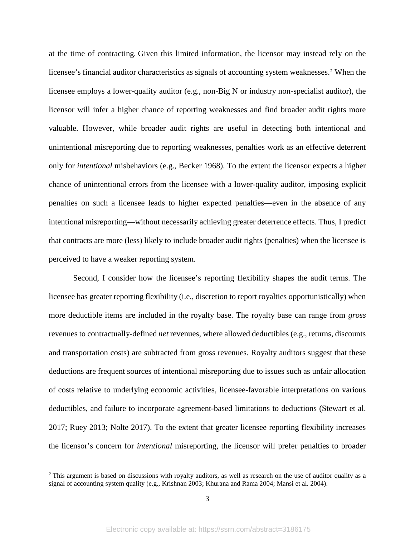at the time of contracting*.* Given this limited information, the licensor may instead rely on the licensee's financial auditor characteristics as signals of accounting system weaknesses.[2](#page-3-0) When the licensee employs a lower-quality auditor (e.g., non-Big N or industry non-specialist auditor), the licensor will infer a higher chance of reporting weaknesses and find broader audit rights more valuable. However, while broader audit rights are useful in detecting both intentional and unintentional misreporting due to reporting weaknesses, penalties work as an effective deterrent only for *intentional* misbehaviors (e.g., Becker 1968). To the extent the licensor expects a higher chance of unintentional errors from the licensee with a lower-quality auditor, imposing explicit penalties on such a licensee leads to higher expected penalties—even in the absence of any intentional misreporting—without necessarily achieving greater deterrence effects. Thus, I predict that contracts are more (less) likely to include broader audit rights (penalties) when the licensee is perceived to have a weaker reporting system.

Second, I consider how the licensee's reporting flexibility shapes the audit terms. The licensee has greater reporting flexibility (i.e., discretion to report royalties opportunistically) when more deductible items are included in the royalty base. The royalty base can range from *gross* revenues to contractually-defined *net* revenues, where allowed deductibles (e.g., returns, discounts and transportation costs) are subtracted from gross revenues. Royalty auditors suggest that these deductions are frequent sources of intentional misreporting due to issues such as unfair allocation of costs relative to underlying economic activities, licensee-favorable interpretations on various deductibles, and failure to incorporate agreement-based limitations to deductions (Stewart et al. 2017; Ruey 2013; Nolte 2017). To the extent that greater licensee reporting flexibility increases the licensor's concern for *intentional* misreporting, the licensor will prefer penalties to broader

 $\overline{\phantom{a}}$ 

<span id="page-3-0"></span><sup>&</sup>lt;sup>2</sup> This argument is based on discussions with royalty auditors, as well as research on the use of auditor quality as a signal of accounting system quality (e.g., Krishnan 2003; Khurana and Rama 2004; Mansi et al. 2004).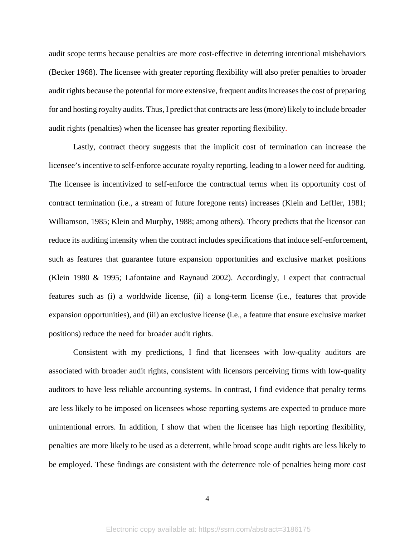audit scope terms because penalties are more cost-effective in deterring intentional misbehaviors (Becker 1968). The licensee with greater reporting flexibility will also prefer penalties to broader audit rights because the potential for more extensive, frequent auditsincreases the cost of preparing for and hosting royalty audits. Thus, I predict that contracts are less (more) likely to include broader audit rights (penalties) when the licensee has greater reporting flexibility.

Lastly, contract theory suggests that the implicit cost of termination can increase the licensee's incentive to self-enforce accurate royalty reporting, leading to a lower need for auditing. The licensee is incentivized to self-enforce the contractual terms when its opportunity cost of contract termination (i.e., a stream of future foregone rents) increases (Klein and Leffler, 1981; Williamson, 1985; Klein and Murphy, 1988; among others). Theory predicts that the licensor can reduce its auditing intensity when the contract includes specifications that induce self-enforcement, such as features that guarantee future expansion opportunities and exclusive market positions (Klein 1980 & 1995; Lafontaine and Raynaud 2002). Accordingly, I expect that contractual features such as (i) a worldwide license, (ii) a long-term license (i.e., features that provide expansion opportunities), and (iii) an exclusive license (i.e., a feature that ensure exclusive market positions) reduce the need for broader audit rights.

Consistent with my predictions, I find that licensees with low-quality auditors are associated with broader audit rights, consistent with licensors perceiving firms with low-quality auditors to have less reliable accounting systems. In contrast, I find evidence that penalty terms are less likely to be imposed on licensees whose reporting systems are expected to produce more unintentional errors. In addition, I show that when the licensee has high reporting flexibility, penalties are more likely to be used as a deterrent, while broad scope audit rights are less likely to be employed. These findings are consistent with the deterrence role of penalties being more cost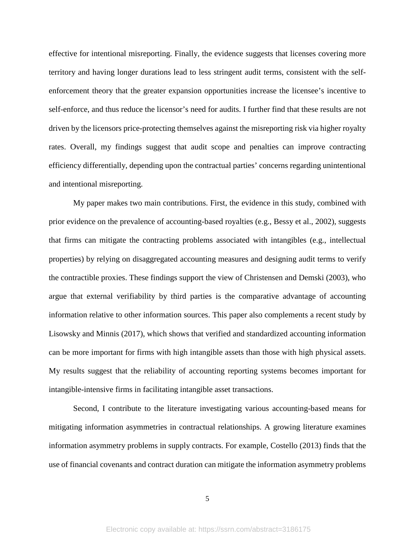effective for intentional misreporting. Finally, the evidence suggests that licenses covering more territory and having longer durations lead to less stringent audit terms, consistent with the selfenforcement theory that the greater expansion opportunities increase the licensee's incentive to self-enforce, and thus reduce the licensor's need for audits. I further find that these results are not driven by the licensors price-protecting themselves against the misreporting risk via higher royalty rates. Overall, my findings suggest that audit scope and penalties can improve contracting efficiency differentially, depending upon the contractual parties' concerns regarding unintentional and intentional misreporting.

My paper makes two main contributions. First, the evidence in this study, combined with prior evidence on the prevalence of accounting-based royalties (e.g., Bessy et al., 2002), suggests that firms can mitigate the contracting problems associated with intangibles (e.g., intellectual properties) by relying on disaggregated accounting measures and designing audit terms to verify the contractible proxies. These findings support the view of Christensen and Demski (2003), who argue that external verifiability by third parties is the comparative advantage of accounting information relative to other information sources. This paper also complements a recent study by Lisowsky and Minnis (2017), which shows that verified and standardized accounting information can be more important for firms with high intangible assets than those with high physical assets. My results suggest that the reliability of accounting reporting systems becomes important for intangible-intensive firms in facilitating intangible asset transactions.

Second, I contribute to the literature investigating various accounting-based means for mitigating information asymmetries in contractual relationships. A growing literature examines information asymmetry problems in supply contracts. For example, Costello (2013) finds that the use of financial covenants and contract duration can mitigate the information asymmetry problems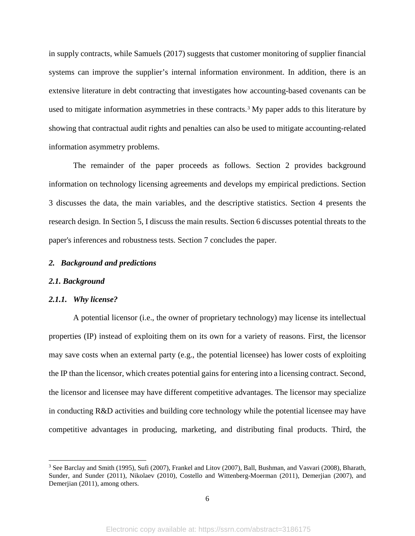in supply contracts, while Samuels (2017) suggests that customer monitoring of supplier financial systems can improve the supplier's internal information environment. In addition, there is an extensive literature in debt contracting that investigates how accounting-based covenants can be used to mitigate information asymmetries in these contracts.<sup>[3](#page-6-0)</sup> My paper adds to this literature by showing that contractual audit rights and penalties can also be used to mitigate accounting-related information asymmetry problems.

The remainder of the paper proceeds as follows. Section 2 provides background information on technology licensing agreements and develops my empirical predictions. Section 3 discusses the data, the main variables, and the descriptive statistics. Section 4 presents the research design. In Section 5, I discuss the main results. Section 6 discusses potential threats to the paper's inferences and robustness tests. Section 7 concludes the paper.

# *2. Background and predictions*

# *2.1. Background*

l

# *2.1.1. Why license?*

A potential licensor (i.e., the owner of proprietary technology) may license its intellectual properties (IP) instead of exploiting them on its own for a variety of reasons. First, the licensor may save costs when an external party (e.g., the potential licensee) has lower costs of exploiting the IP than the licensor, which creates potential gains for entering into a licensing contract. Second, the licensor and licensee may have different competitive advantages. The licensor may specialize in conducting R&D activities and building core technology while the potential licensee may have competitive advantages in producing, marketing, and distributing final products. Third, the

<span id="page-6-0"></span><sup>3</sup> See Barclay and Smith (1995), Sufi (2007), Frankel and Litov (2007), Ball, Bushman, and Vasvari (2008), Bharath, Sunder, and Sunder (2011), Nikolaev (2010), Costello and Wittenberg-Moerman (2011), Demerjian (2007), and Demerjian (2011), among others.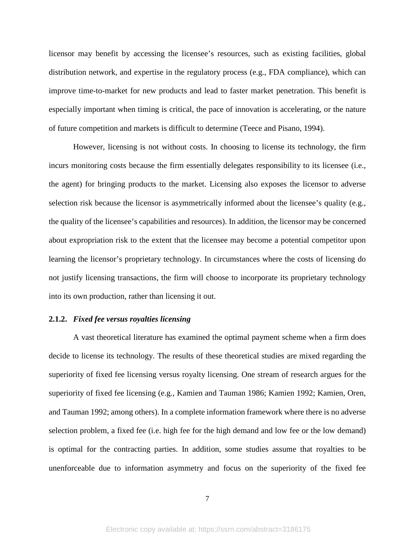licensor may benefit by accessing the licensee's resources, such as existing facilities, global distribution network, and expertise in the regulatory process (e.g., FDA compliance), which can improve time-to-market for new products and lead to faster market penetration. This benefit is especially important when timing is critical, the pace of innovation is accelerating, or the nature of future competition and markets is difficult to determine (Teece and Pisano, 1994).

However, licensing is not without costs. In choosing to license its technology, the firm incurs monitoring costs because the firm essentially delegates responsibility to its licensee (i.e., the agent) for bringing products to the market. Licensing also exposes the licensor to adverse selection risk because the licensor is asymmetrically informed about the licensee's quality (e.g., the quality of the licensee's capabilities and resources). In addition, the licensor may be concerned about expropriation risk to the extent that the licensee may become a potential competitor upon learning the licensor's proprietary technology. In circumstances where the costs of licensing do not justify licensing transactions, the firm will choose to incorporate its proprietary technology into its own production, rather than licensing it out.

## **2.1.2.** *Fixed fee versus royalties licensing*

A vast theoretical literature has examined the optimal payment scheme when a firm does decide to license its technology. The results of these theoretical studies are mixed regarding the superiority of fixed fee licensing versus royalty licensing. One stream of research argues for the superiority of fixed fee licensing (e.g., Kamien and Tauman 1986; Kamien 1992; Kamien, Oren, and Tauman 1992; among others). In a complete information framework where there is no adverse selection problem, a fixed fee (i.e. high fee for the high demand and low fee or the low demand) is optimal for the contracting parties. In addition, some studies assume that royalties to be unenforceable due to information asymmetry and focus on the superiority of the fixed fee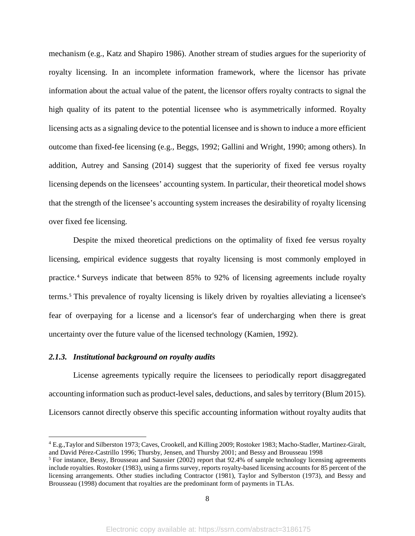mechanism (e.g., Katz and Shapiro 1986). Another stream of studies argues for the superiority of royalty licensing. In an incomplete information framework, where the licensor has private information about the actual value of the patent, the licensor offers royalty contracts to signal the high quality of its patent to the potential licensee who is asymmetrically informed. Royalty licensing acts as a signaling device to the potential licensee and is shown to induce a more efficient outcome than fixed-fee licensing (e.g., Beggs, 1992; Gallini and Wright, 1990; among others). In addition, Autrey and Sansing (2014) suggest that the superiority of fixed fee versus royalty licensing depends on the licensees' accounting system. In particular, their theoretical model shows that the strength of the licensee's accounting system increases the desirability of royalty licensing over fixed fee licensing.

Despite the mixed theoretical predictions on the optimality of fixed fee versus royalty licensing, empirical evidence suggests that royalty licensing is most commonly employed in practice. [4](#page-8-0) Surveys indicate that between 85% to 92% of licensing agreements include royalty terms.[5](#page-8-1) This prevalence of royalty licensing is likely driven by royalties alleviating a licensee's fear of overpaying for a license and a licensor's fear of undercharging when there is great uncertainty over the future value of the licensed technology (Kamien, 1992).

# *2.1.3. Institutional background on royalty audits*

l

License agreements typically require the licensees to periodically report disaggregated accounting information such as product-level sales, deductions, and sales by territory (Blum 2015). Licensors cannot directly observe this specific accounting information without royalty audits that

<span id="page-8-0"></span><sup>4</sup> E.g.,Taylor and Silberston 1973; Caves, Crookell, and Killing 2009; Rostoker 1983; Macho-Stadler, Martinez-Giralt, and David Pérez-Castrillo 1996; Thursby, Jensen, and Thursby 2001; and Bessy and Brousseau 1998

<span id="page-8-1"></span><sup>&</sup>lt;sup>5</sup> For instance, Bessy, Brousseau and Saussier (2002) report that 92.4% of sample technology licensing agreements include royalties. Rostoker (1983), using a firms survey, reports royalty-based licensing accounts for 85 percent of the licensing arrangements. Other studies including Contractor (1981), Taylor and Sylberston (1973), and Bessy and Brousseau (1998) document that royalties are the predominant form of payments in TLAs.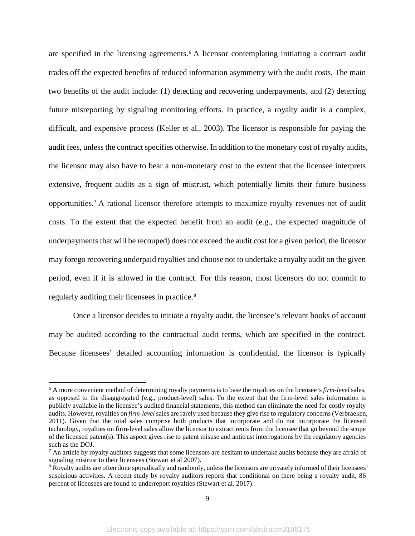are specified in the licensing agreements. [6](#page-9-0) A licensor contemplating initiating a contract audit trades off the expected benefits of reduced information asymmetry with the audit costs. The main two benefits of the audit include: (1) detecting and recovering underpayments, and (2) deterring future misreporting by signaling monitoring efforts. In practice, a royalty audit is a complex, difficult, and expensive process (Keller et al., 2003). The licensor is responsible for paying the audit fees, unless the contract specifies otherwise. In addition to the monetary cost of royalty audits, the licensor may also have to bear a non-monetary cost to the extent that the licensee interprets extensive, frequent audits as a sign of mistrust, which potentially limits their future business opportunities. [7](#page-9-1) A rational licensor therefore attempts to maximize royalty revenues net of audit costs. To the extent that the expected benefit from an audit (e.g., the expected magnitude of underpayments that will be recouped) does not exceed the audit cost for a given period, the licensor may forego recovering underpaid royalties and choose not to undertake a royalty audit on the given period, even if it is allowed in the contract. For this reason, most licensors do not commit to regularly auditing their licensees in practice.[8](#page-9-2)

Once a licensor decides to initiate a royalty audit, the licensee's relevant books of account may be audited according to the contractual audit terms, which are specified in the contract. Because licensees' detailed accounting information is confidential, the licensor is typically

l

<span id="page-9-0"></span><sup>6</sup> A more convenient method of determining royalty payments is to base the royalties on the licensee's *firm-level* sales, as opposed to the disaggregated (e.g., product-level) sales. To the extent that the firm-level sales information is publicly available in the licensee's audited financial statements, this method can eliminate the need for costly royalty audits. However, royalties on *firm-level*sales are rarely used because they give rise to regulatory concerns (Verbraeken, 2011). Given that the total sales comprise both products that incorporate and do not incorporate the licensed technology, royalties on firm-level sales allow the licensor to extract rents from the licensee that go beyond the scope of the licensed patent(s). This aspect gives rise to patent misuse and antitrust interrogations by the regulatory agencies such as the DOJ.

<span id="page-9-1"></span> $<sup>7</sup>$  An article by royalty auditors suggests that some licensors are hesitant to undertake audits because they are afraid of</sup> signaling mistrust to their licensees (Stewart et al 2007).

<span id="page-9-2"></span><sup>&</sup>lt;sup>8</sup> Royalty audits are often done sporadically and randomly, unless the licensors are privately informed of their licensees' suspicious activities. A recent study by royalty auditors reports that conditional on there being a royalty audit, 86 percent of licensees are found to underreport royalties (Stewart et al. 2017).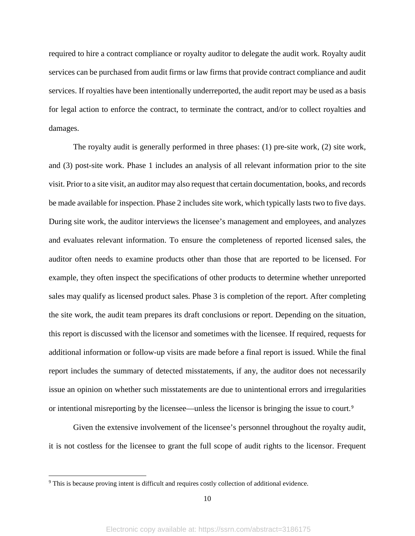required to hire a contract compliance or royalty auditor to delegate the audit work. Royalty audit services can be purchased from audit firms or law firms that provide contract compliance and audit services. If royalties have been intentionally underreported, the audit report may be used as a basis for legal action to enforce the contract, to terminate the contract, and/or to collect royalties and damages.

The royalty audit is generally performed in three phases: (1) pre-site work, (2) site work, and (3) post-site work. Phase 1 includes an analysis of all relevant information prior to the site visit. Prior to a site visit, an auditor may also request that certain documentation, books, and records be made available for inspection. Phase 2 includes site work, which typically lasts two to five days. During site work, the auditor interviews the licensee's management and employees, and analyzes and evaluates relevant information. To ensure the completeness of reported licensed sales, the auditor often needs to examine products other than those that are reported to be licensed. For example, they often inspect the specifications of other products to determine whether unreported sales may qualify as licensed product sales. Phase 3 is completion of the report. After completing the site work, the audit team prepares its draft conclusions or report. Depending on the situation, this report is discussed with the licensor and sometimes with the licensee. If required, requests for additional information or follow-up visits are made before a final report is issued. While the final report includes the summary of detected misstatements, if any, the auditor does not necessarily issue an opinion on whether such misstatements are due to unintentional errors and irregularities or intentional misreporting by the licensee—unless the licensor is bringing the issue to court.<sup>[9](#page-10-0)</sup>

Given the extensive involvement of the licensee's personnel throughout the royalty audit, it is not costless for the licensee to grant the full scope of audit rights to the licensor. Frequent

l

<span id="page-10-0"></span><sup>&</sup>lt;sup>9</sup> This is because proving intent is difficult and requires costly collection of additional evidence.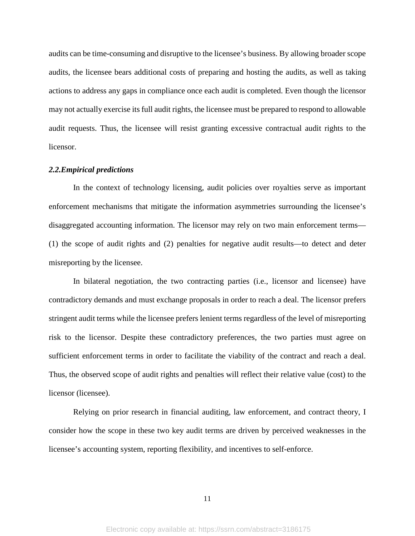audits can be time-consuming and disruptive to the licensee's business. By allowing broader scope audits, the licensee bears additional costs of preparing and hosting the audits, as well as taking actions to address any gaps in compliance once each audit is completed. Even though the licensor may not actually exercise its full audit rights, the licensee must be prepared to respond to allowable audit requests. Thus, the licensee will resist granting excessive contractual audit rights to the licensor.

#### *2.2.Empirical predictions*

In the context of technology licensing, audit policies over royalties serve as important enforcement mechanisms that mitigate the information asymmetries surrounding the licensee's disaggregated accounting information. The licensor may rely on two main enforcement terms— (1) the scope of audit rights and (2) penalties for negative audit results—to detect and deter misreporting by the licensee.

In bilateral negotiation, the two contracting parties (i.e., licensor and licensee) have contradictory demands and must exchange proposals in order to reach a deal. The licensor prefers stringent audit terms while the licensee prefers lenient terms regardless of the level of misreporting risk to the licensor. Despite these contradictory preferences, the two parties must agree on sufficient enforcement terms in order to facilitate the viability of the contract and reach a deal. Thus, the observed scope of audit rights and penalties will reflect their relative value (cost) to the licensor (licensee).

Relying on prior research in financial auditing, law enforcement, and contract theory, I consider how the scope in these two key audit terms are driven by perceived weaknesses in the licensee's accounting system, reporting flexibility, and incentives to self-enforce.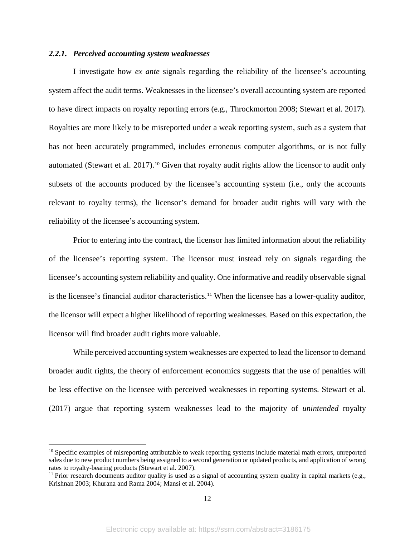# *2.2.1. Perceived accounting system weaknesses*

 $\overline{\phantom{a}}$ 

I investigate how *ex ante* signals regarding the reliability of the licensee's accounting system affect the audit terms. Weaknesses in the licensee's overall accounting system are reported to have direct impacts on royalty reporting errors (e.g., Throckmorton 2008; Stewart et al. 2017). Royalties are more likely to be misreported under a weak reporting system, such as a system that has not been accurately programmed, includes erroneous computer algorithms, or is not fully automated (Stewart et al. 2017).<sup>[10](#page-12-0)</sup> Given that royalty audit rights allow the licensor to audit only subsets of the accounts produced by the licensee's accounting system (i.e., only the accounts relevant to royalty terms), the licensor's demand for broader audit rights will vary with the reliability of the licensee's accounting system.

Prior to entering into the contract, the licensor has limited information about the reliability of the licensee's reporting system. The licensor must instead rely on signals regarding the licensee's accounting system reliability and quality. One informative and readily observable signal is the licensee's financial auditor characteristics. [11](#page-12-1) When the licensee has a lower-quality auditor, the licensor will expect a higher likelihood of reporting weaknesses. Based on this expectation, the licensor will find broader audit rights more valuable.

While perceived accounting system weaknesses are expected to lead the licensor to demand broader audit rights, the theory of enforcement economics suggests that the use of penalties will be less effective on the licensee with perceived weaknesses in reporting systems. Stewart et al. (2017) argue that reporting system weaknesses lead to the majority of *unintended* royalty

<span id="page-12-0"></span><sup>&</sup>lt;sup>10</sup> Specific examples of misreporting attributable to weak reporting systems include material math errors, unreported sales due to new product numbers being assigned to a second generation or updated products, and application of wrong rates to royalty-bearing products (Stewart et al. 2007).

<span id="page-12-1"></span><sup>&</sup>lt;sup>11</sup> Prior research documents auditor quality is used as a signal of accounting system quality in capital markets (e.g., Krishnan 2003; Khurana and Rama 2004; Mansi et al. 2004).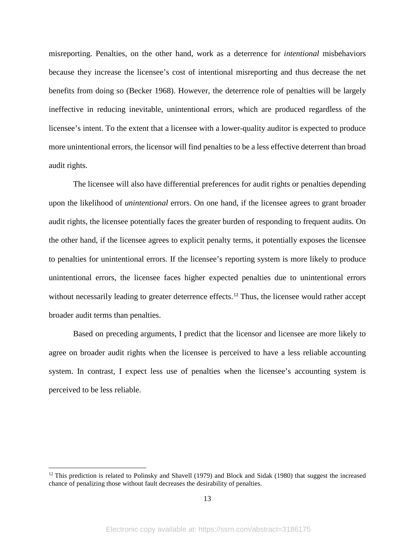misreporting. Penalties, on the other hand, work as a deterrence for *intentional* misbehaviors because they increase the licensee's cost of intentional misreporting and thus decrease the net benefits from doing so (Becker 1968). However, the deterrence role of penalties will be largely ineffective in reducing inevitable, unintentional errors, which are produced regardless of the licensee's intent. To the extent that a licensee with a lower-quality auditor is expected to produce more unintentional errors, the licensor will find penalties to be a less effective deterrent than broad audit rights.

The licensee will also have differential preferences for audit rights or penalties depending upon the likelihood of *unintentional* errors. On one hand, if the licensee agrees to grant broader audit rights, the licensee potentially faces the greater burden of responding to frequent audits. On the other hand, if the licensee agrees to explicit penalty terms, it potentially exposes the licensee to penalties for unintentional errors. If the licensee's reporting system is more likely to produce unintentional errors, the licensee faces higher expected penalties due to unintentional errors without necessarily leading to greater deterrence effects.<sup>[12](#page-13-0)</sup> Thus, the licensee would rather accept broader audit terms than penalties.

Based on preceding arguments, I predict that the licensor and licensee are more likely to agree on broader audit rights when the licensee is perceived to have a less reliable accounting system. In contrast, I expect less use of penalties when the licensee's accounting system is perceived to be less reliable.

 $\overline{\phantom{a}}$ 

<span id="page-13-0"></span> $12$  This prediction is related to Polinsky and Shavell (1979) and Block and Sidak (1980) that suggest the increased chance of penalizing those without fault decreases the desirability of penalties.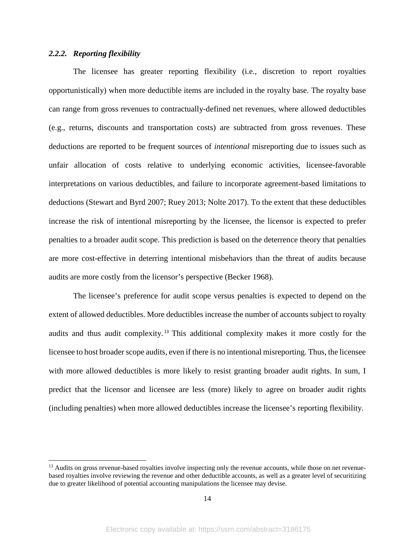# *2.2.2. Reporting flexibility*

l

The licensee has greater reporting flexibility (i.e., discretion to report royalties opportunistically) when more deductible items are included in the royalty base. The royalty base can range from gross revenues to contractually-defined net revenues, where allowed deductibles (e.g., returns, discounts and transportation costs) are subtracted from gross revenues. These deductions are reported to be frequent sources of *intentional* misreporting due to issues such as unfair allocation of costs relative to underlying economic activities, licensee-favorable interpretations on various deductibles, and failure to incorporate agreement-based limitations to deductions (Stewart and Byrd 2007; Ruey 2013; Nolte 2017). To the extent that these deductibles increase the risk of intentional misreporting by the licensee, the licensor is expected to prefer penalties to a broader audit scope. This prediction is based on the deterrence theory that penalties are more cost-effective in deterring intentional misbehaviors than the threat of audits because audits are more costly from the licensor's perspective (Becker 1968).

The licensee's preference for audit scope versus penalties is expected to depend on the extent of allowed deductibles. More deductibles increase the number of accounts subject to royalty audits and thus audit complexity. [13](#page-14-0) This additional complexity makes it more costly for the licensee to host broader scope audits, even if there is no intentional misreporting. Thus, the licensee with more allowed deductibles is more likely to resist granting broader audit rights. In sum, I predict that the licensor and licensee are less (more) likely to agree on broader audit rights (including penalties) when more allowed deductibles increase the licensee's reporting flexibility.

<span id="page-14-0"></span><sup>&</sup>lt;sup>13</sup> Audits on gross revenue-based royalties involve inspecting only the revenue accounts, while those on net revenuebased royalties involve reviewing the revenue and other deductible accounts, as well as a greater level of securitizing due to greater likelihood of potential accounting manipulations the licensee may devise.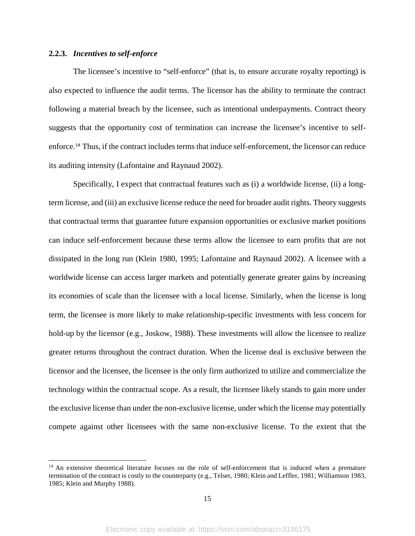# **2.2.3.** *Incentives to self-enforce*

l

The licensee's incentive to "self-enforce" (that is, to ensure accurate royalty reporting) is also expected to influence the audit terms. The licensor has the ability to terminate the contract following a material breach by the licensee, such as intentional underpayments. Contract theory suggests that the opportunity cost of termination can increase the licensee's incentive to selfenforce.[14](#page-15-0) Thus, if the contract includes terms that induce self-enforcement, the licensor can reduce its auditing intensity (Lafontaine and Raynaud 2002).

Specifically, I expect that contractual features such as (i) a worldwide license, (ii) a longterm license, and (iii) an exclusive license reduce the need for broader audit rights. Theory suggests that contractual terms that guarantee future expansion opportunities or exclusive market positions can induce self-enforcement because these terms allow the licensee to earn profits that are not dissipated in the long run (Klein 1980, 1995; Lafontaine and Raynaud 2002). A licensee with a worldwide license can access larger markets and potentially generate greater gains by increasing its economies of scale than the licensee with a local license. Similarly, when the license is long term, the licensee is more likely to make relationship-specific investments with less concern for hold-up by the licensor (e.g., Joskow, 1988). These investments will allow the licensee to realize greater returns throughout the contract duration. When the license deal is exclusive between the licensor and the licensee, the licensee is the only firm authorized to utilize and commercialize the technology within the contractual scope. As a result, the licensee likely stands to gain more under the exclusive license than under the non-exclusive license, under which the license may potentially compete against other licensees with the same non-exclusive license. To the extent that the

<span id="page-15-0"></span><sup>&</sup>lt;sup>14</sup> An extensive theoretical literature focuses on the role of self-enforcement that is induced when a premature termination of the contract is costly to the counterparty (e.g., Telser, 1980; Klein and Leffler, 1981; Williamson 1983, 1985; Klein and Murphy 1988).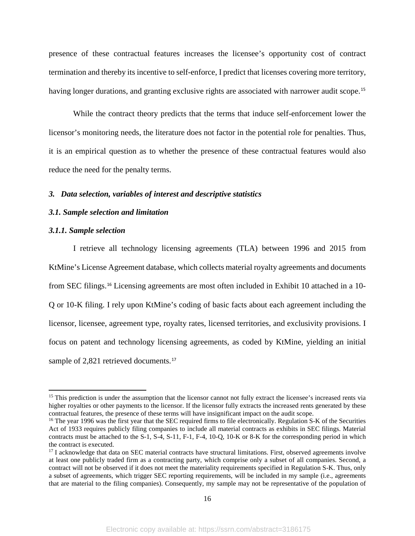presence of these contractual features increases the licensee's opportunity cost of contract termination and thereby its incentive to self-enforce, I predict that licenses covering more territory, having longer durations, and granting exclusive rights are associated with narrower audit scope.<sup>[15](#page-16-0)</sup>

While the contract theory predicts that the terms that induce self-enforcement lower the licensor's monitoring needs, the literature does not factor in the potential role for penalties. Thus, it is an empirical question as to whether the presence of these contractual features would also reduce the need for the penalty terms.

# *3. Data selection, variables of interest and descriptive statistics*

### *3.1. Sample selection and limitation*

# *3.1.1. Sample selection*

l

I retrieve all technology licensing agreements (TLA) between 1996 and 2015 from KtMine's License Agreement database, which collects material royalty agreements and documents from SEC filings.[16](#page-16-1) Licensing agreements are most often included in Exhibit 10 attached in a 10- Q or 10-K filing. I rely upon KtMine's coding of basic facts about each agreement including the licensor, licensee, agreement type, royalty rates, licensed territories, and exclusivity provisions. I focus on patent and technology licensing agreements, as coded by KtMine, yielding an initial sample of 2,821 retrieved documents.<sup>[17](#page-16-2)</sup>

<span id="page-16-0"></span><sup>&</sup>lt;sup>15</sup> This prediction is under the assumption that the licensor cannot not fully extract the licensee's increased rents via higher royalties or other payments to the licensor. If the licensor fully extracts the increased rents generated by these contractual features, the presence of these terms will have insignificant impact on the audit scope.

<span id="page-16-1"></span><sup>&</sup>lt;sup>16</sup> The year 1996 was the first year that the SEC required firms to file electronically. Regulation S-K of the Securities Act of 1933 requires publicly filing companies to include all material contracts as exhibits in SEC filings. Material contracts must be attached to the S-1, S-4, S-11, F-1, F-4, 10-Q, 10-K or 8-K for the corresponding period in which the contract is executed.

<span id="page-16-2"></span><sup>&</sup>lt;sup>17</sup> I acknowledge that data on SEC material contracts have structural limitations. First, observed agreements involve at least one publicly traded firm as a contracting party, which comprise only a subset of all companies. Second, a contract will not be observed if it does not meet the materiality requirements specified in Regulation S-K. Thus, only a subset of agreements, which trigger SEC reporting requirements, will be included in my sample (i.e., agreements that are material to the filing companies). Consequently, my sample may not be representative of the population of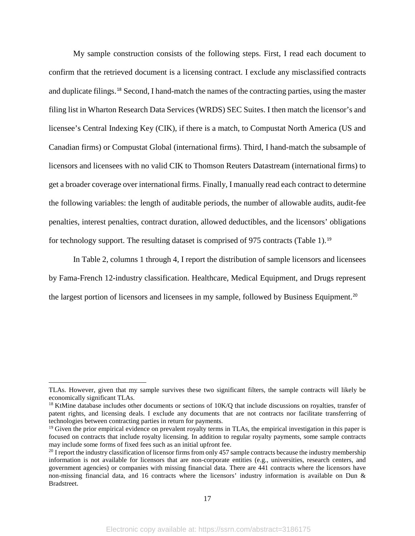My sample construction consists of the following steps. First, I read each document to confirm that the retrieved document is a licensing contract. I exclude any misclassified contracts and duplicate filings.[18](#page-17-0) Second, I hand-match the names of the contracting parties, using the master filing list in Wharton Research Data Services (WRDS) SEC Suites. I then match the licensor's and licensee's Central Indexing Key (CIK), if there is a match, to Compustat North America (US and Canadian firms) or Compustat Global (international firms). Third, I hand-match the subsample of licensors and licensees with no valid CIK to Thomson Reuters Datastream (international firms) to get a broader coverage over international firms. Finally, I manually read each contract to determine the following variables: the length of auditable periods, the number of allowable audits, audit-fee penalties, interest penalties, contract duration, allowed deductibles, and the licensors' obligations for technology support. The resulting dataset is comprised of 975 contracts (Table 1). [19](#page-17-1)

In Table 2, columns 1 through 4, I report the distribution of sample licensors and licensees by Fama-French 12-industry classification. Healthcare, Medical Equipment, and Drugs represent the largest portion of licensors and licensees in my sample, followed by Business Equipment.<sup>[20](#page-17-2)</sup>

l

TLAs. However, given that my sample survives these two significant filters, the sample contracts will likely be economically significant TLAs.

<span id="page-17-0"></span><sup>&</sup>lt;sup>18</sup> KtMine database includes other documents or sections of 10K/Q that include discussions on royalties, transfer of patent rights, and licensing deals. I exclude any documents that are not contracts nor facilitate transferring of technologies between contracting parties in return for payments.

<span id="page-17-1"></span><sup>&</sup>lt;sup>19</sup> Given the prior empirical evidence on prevalent royalty terms in TLAs, the empirical investigation in this paper is focused on contracts that include royalty licensing. In addition to regular royalty payments, some sample contracts may include some forms of fixed fees such as an initial upfront fee.

<span id="page-17-2"></span> $20$  I report the industry classification of licensor firms from only 457 sample contracts because the industry membership information is not available for licensors that are non-corporate entities (e.g., universities, research centers, and government agencies) or companies with missing financial data. There are 441 contracts where the licensors have non-missing financial data, and 16 contracts where the licensors' industry information is available on Dun & Bradstreet.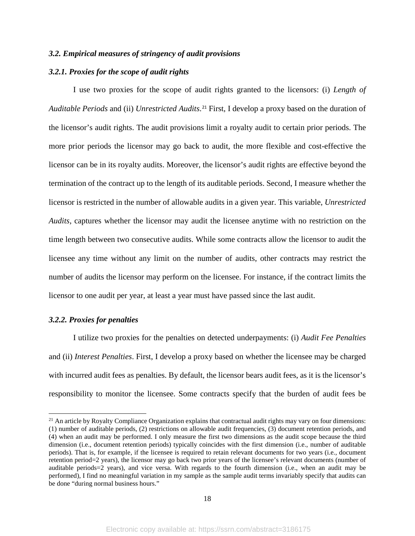# *3.2. Empirical measures of stringency of audit provisions*

# *3.2.1. Proxies for the scope of audit rights*

I use two proxies for the scope of audit rights granted to the licensors: (i) *Length of Auditable Periods* and (ii) *Unrestricted Audits*. [21](#page-18-0) First, I develop a proxy based on the duration of the licensor's audit rights. The audit provisions limit a royalty audit to certain prior periods. The more prior periods the licensor may go back to audit, the more flexible and cost-effective the licensor can be in its royalty audits. Moreover, the licensor's audit rights are effective beyond the termination of the contract up to the length of its auditable periods. Second, I measure whether the licensor is restricted in the number of allowable audits in a given year. This variable, *Unrestricted Audits,* captures whether the licensor may audit the licensee anytime with no restriction on the time length between two consecutive audits. While some contracts allow the licensor to audit the licensee any time without any limit on the number of audits, other contracts may restrict the number of audits the licensor may perform on the licensee. For instance, if the contract limits the licensor to one audit per year, at least a year must have passed since the last audit.

# *3.2.2. Proxies for penalties*

l

I utilize two proxies for the penalties on detected underpayments: (i) *Audit Fee Penalties*  and (ii) *Interest Penalties*. First, I develop a proxy based on whether the licensee may be charged with incurred audit fees as penalties. By default, the licensor bears audit fees, as it is the licensor's responsibility to monitor the licensee. Some contracts specify that the burden of audit fees be

<span id="page-18-0"></span> $21$  An article by Royalty Compliance Organization explains that contractual audit rights may vary on four dimensions: (1) number of auditable periods, (2) restrictions on allowable audit frequencies, (3) document retention periods, and (4) when an audit may be performed. I only measure the first two dimensions as the audit scope because the third dimension (i.e., document retention periods) typically coincides with the first dimension (i.e., number of auditable periods). That is, for example, if the licensee is required to retain relevant documents for two years (i.e., document retention period=2 years), the licensor may go back two prior years of the licensee's relevant documents (number of auditable periods=2 years), and vice versa. With regards to the fourth dimension (i.e., when an audit may be performed), I find no meaningful variation in my sample as the sample audit terms invariably specify that audits can be done "during normal business hours."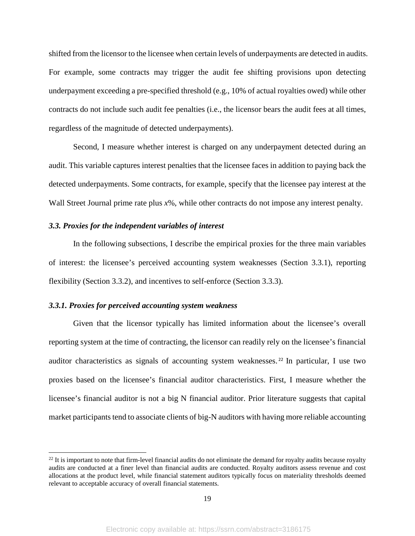shifted from the licensor to the licensee when certain levels of underpayments are detected in audits. For example, some contracts may trigger the audit fee shifting provisions upon detecting underpayment exceeding a pre-specified threshold (e.g.,  $10\%$  of actual royalties owed) while other contracts do not include such audit fee penalties (i.e., the licensor bears the audit fees at all times, regardless of the magnitude of detected underpayments).

Second, I measure whether interest is charged on any underpayment detected during an audit. This variable captures interest penalties that the licensee faces in addition to paying back the detected underpayments. Some contracts, for example, specify that the licensee pay interest at the Wall Street Journal prime rate plus *x*%, while other contracts do not impose any interest penalty.

# *3.3. Proxies for the independent variables of interest*

In the following subsections, I describe the empirical proxies for the three main variables of interest: the licensee's perceived accounting system weaknesses (Section 3.3.1), reporting flexibility (Section 3.3.2), and incentives to self-enforce (Section 3.3.3).

# *3.3.1. Proxies for perceived accounting system weakness*

 $\overline{\phantom{a}}$ 

Given that the licensor typically has limited information about the licensee's overall reporting system at the time of contracting, the licensor can readily rely on the licensee's financial auditor characteristics as signals of accounting system weaknesses. [22](#page-19-0) In particular, I use two proxies based on the licensee's financial auditor characteristics. First, I measure whether the licensee's financial auditor is not a big N financial auditor. Prior literature suggests that capital market participants tend to associate clients of big-N auditors with having more reliable accounting

<span id="page-19-0"></span> $^{22}$  It is important to note that firm-level financial audits do not eliminate the demand for royalty audits because royalty audits are conducted at a finer level than financial audits are conducted. Royalty auditors assess revenue and cost allocations at the product level, while financial statement auditors typically focus on materiality thresholds deemed relevant to acceptable accuracy of overall financial statements.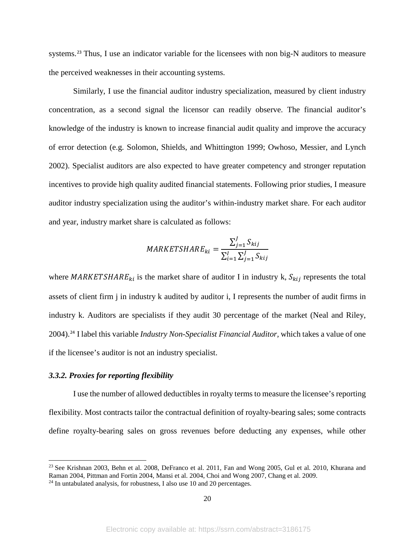systems.<sup>[23](#page-20-0)</sup> Thus, I use an indicator variable for the licensees with non big-N auditors to measure the perceived weaknesses in their accounting systems.

Similarly, I use the financial auditor industry specialization, measured by client industry concentration, as a second signal the licensor can readily observe. The financial auditor's knowledge of the industry is known to increase financial audit quality and improve the accuracy of error detection (e.g. Solomon, Shields, and Whittington 1999; Owhoso, Messier, and Lynch 2002). Specialist auditors are also expected to have greater competency and stronger reputation incentives to provide high quality audited financial statements. Following prior studies, I measure auditor industry specialization using the auditor's within-industry market share. For each auditor and year, industry market share is calculated as follows:

$$
MARKETSHARE_{ki} = \frac{\sum_{j=1}^{J} S_{kij}}{\sum_{i=1}^{I} \sum_{j=1}^{J} S_{kij}}
$$

where MARKETSHARE<sub>ki</sub> is the market share of auditor I in industry k,  $S_{ki}$  represents the total assets of client firm j in industry k audited by auditor i, I represents the number of audit firms in industry k. Auditors are specialists if they audit 30 percentage of the market (Neal and Riley, 2004).[24](#page-20-1) I label this variable *Industry Non-Specialist Financial Auditor,* which takes a value of one if the licensee's auditor is not an industry specialist.

# *3.3.2. Proxies for reporting flexibility*

l

I use the number of allowed deductibles in royalty terms to measure the licensee's reporting flexibility. Most contracts tailor the contractual definition of royalty-bearing sales; some contracts define royalty-bearing sales on gross revenues before deducting any expenses, while other

<span id="page-20-0"></span><sup>&</sup>lt;sup>23</sup> See Krishnan 2003, Behn et al. 2008, DeFranco et al. 2011, Fan and Wong 2005, Gul et al. 2010, Khurana and Raman 2004, Pittman and Fortin 2004, Mansi et al. 2004, Choi and Wong 2007, Chang et al. 2009.

<span id="page-20-1"></span> $24$  In untabulated analysis, for robustness, I also use 10 and 20 percentages.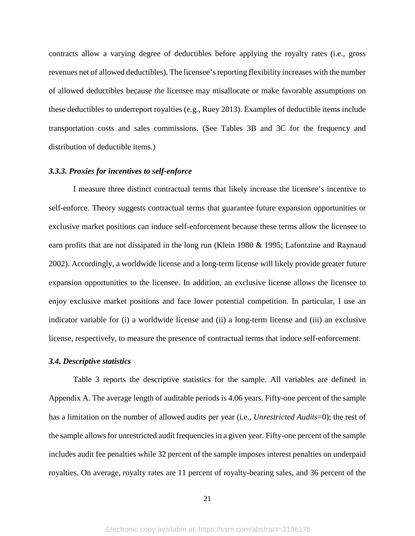contracts allow a varying degree of deductibles before applying the royalty rates (i.e., gross revenues net of allowed deductibles). The licensee's reporting flexibility increases with the number of allowed deductibles because the licensee may misallocate or make favorable assumptions on these deductibles to underreport royalties (e.g., Ruey 2013). Examples of deductible items include transportation costs and sales commissions. (See Tables 3B and 3C for the frequency and distribution of deductible items.)

# *3.3.3. Proxies for incentives to self-enforce*

I measure three distinct contractual terms that likely increase the licensee's incentive to self-enforce. Theory suggests contractual terms that guarantee future expansion opportunities or exclusive market positions can induce self-enforcement because these terms allow the licensee to earn profits that are not dissipated in the long run (Klein 1980 & 1995; Lafontaine and Raynaud 2002). Accordingly, a worldwide license and a long-term license will likely provide greater future expansion opportunities to the licensee. In addition, an exclusive license allows the licensee to enjoy exclusive market positions and face lower potential competition. In particular, I use an indicator variable for (i) a worldwide license and (ii) a long-term license and (iii) an exclusive license, respectively, to measure the presence of contractual terms that induce self-enforcement.

#### *3.4. Descriptive statistics*

Table 3 reports the descriptive statistics for the sample. All variables are defined in Appendix A. The average length of auditable periods is 4.06 years. Fifty-one percent of the sample has a limitation on the number of allowed audits per year (i.e., *Unrestricted Audits*=0); the rest of the sample allows for unrestricted audit frequencies in a given year. Fifty-one percent of the sample includes audit fee penalties while 32 percent of the sample imposes interest penalties on underpaid royalties. On average, royalty rates are 11 percent of royalty-bearing sales, and 36 percent of the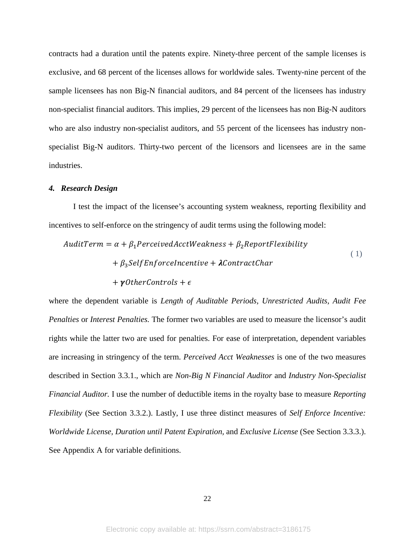contracts had a duration until the patents expire. Ninety-three percent of the sample licenses is exclusive, and 68 percent of the licenses allows for worldwide sales. Twenty-nine percent of the sample licensees has non Big-N financial auditors, and 84 percent of the licensees has industry non-specialist financial auditors. This implies, 29 percent of the licensees has non Big-N auditors who are also industry non-specialist auditors, and 55 percent of the licensees has industry nonspecialist Big-N auditors. Thirty-two percent of the licensors and licensees are in the same industries.

# *4. Research Design*

I test the impact of the licensee's accounting system weakness, reporting flexibility and incentives to self-enforce on the stringency of audit terms using the following model:

$$
AuditTerm = \alpha + \beta_1 PerceivedAcctWeakness + \beta_2 ReportFlexibility
$$
  
+  $\beta_3 SelfEnforceIncentive + \lambda ContractChar$   
+  $\gamma OtherContrals + \epsilon$ 

where the dependent variable is *Length of Auditable Periods, Unrestricted Audits, Audit Fee Penalties* or *Interest Penalties.* The former two variables are used to measure the licensor's audit rights while the latter two are used for penalties. For ease of interpretation, dependent variables are increasing in stringency of the term. *Perceived Acct Weaknesses* is one of the two measures described in Section 3.3.1., which are *Non-Big N Financial Auditor* and *Industry Non-Specialist Financial Auditor.* I use the number of deductible items in the royalty base to measure *Reporting Flexibility* (See Section 3.3.2.). Lastly, I use three distinct measures of *Self Enforce Incentive: Worldwide License, Duration until Patent Expiration,* and *Exclusive License* (See Section 3.3.3.). See Appendix A for variable definitions.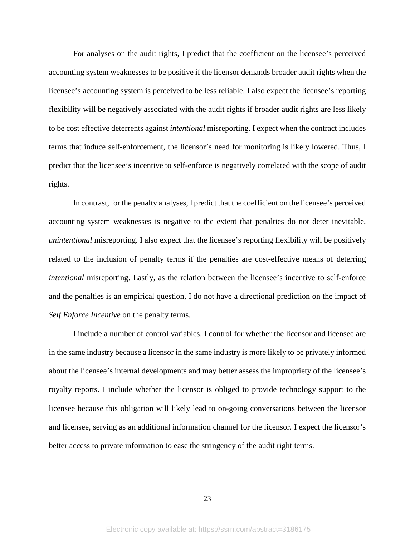For analyses on the audit rights, I predict that the coefficient on the licensee's perceived accounting system weaknesses to be positive if the licensor demands broader audit rights when the licensee's accounting system is perceived to be less reliable. I also expect the licensee's reporting flexibility will be negatively associated with the audit rights if broader audit rights are less likely to be cost effective deterrents against *intentional* misreporting. I expect when the contract includes terms that induce self-enforcement, the licensor's need for monitoring is likely lowered. Thus, I predict that the licensee's incentive to self-enforce is negatively correlated with the scope of audit rights.

In contrast, for the penalty analyses, I predict that the coefficient on the licensee's perceived accounting system weaknesses is negative to the extent that penalties do not deter inevitable, *unintentional* misreporting. I also expect that the licensee's reporting flexibility will be positively related to the inclusion of penalty terms if the penalties are cost-effective means of deterring *intentional* misreporting. Lastly, as the relation between the licensee's incentive to self-enforce and the penalties is an empirical question, I do not have a directional prediction on the impact of *Self Enforce Incentive* on the penalty terms.

I include a number of control variables. I control for whether the licensor and licensee are in the same industry because a licensor in the same industry is more likely to be privately informed about the licensee's internal developments and may better assess the impropriety of the licensee's royalty reports. I include whether the licensor is obliged to provide technology support to the licensee because this obligation will likely lead to on-going conversations between the licensor and licensee, serving as an additional information channel for the licensor. I expect the licensor's better access to private information to ease the stringency of the audit right terms.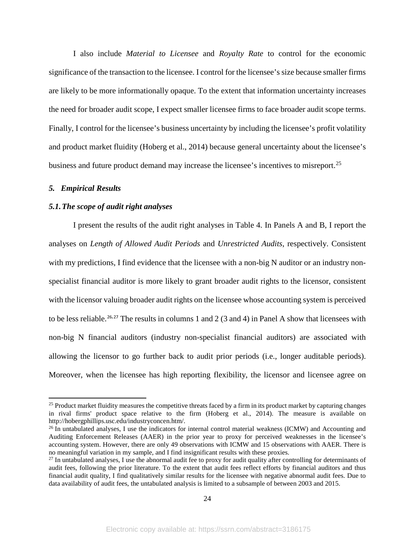I also include *Material to Licensee* and *Royalty Rate* to control for the economic significance of the transaction to the licensee. I control for the licensee's size because smaller firms are likely to be more informationally opaque. To the extent that information uncertainty increases the need for broader audit scope, I expect smaller licensee firms to face broader audit scope terms. Finally, I control for the licensee's business uncertainty by including the licensee's profit volatility and product market fluidity (Hoberg et al., 2014) because general uncertainty about the licensee's business and future product demand may increase the licensee's incentives to misreport.<sup>[25](#page-24-0)</sup>

# *5. Empirical Results*

 $\overline{\phantom{a}}$ 

# *5.1.The scope of audit right analyses*

I present the results of the audit right analyses in Table 4. In Panels A and B, I report the analyses on *Length of Allowed Audit Periods* and *Unrestricted Audits*, respectively. Consistent with my predictions, I find evidence that the licensee with a non-big N auditor or an industry nonspecialist financial auditor is more likely to grant broader audit rights to the licensor, consistent with the licensor valuing broader audit rights on the licensee whose accounting system is perceived to be less reliable. [26](#page-24-1),[27](#page-24-2) The results in columns 1 and 2 (3 and 4) in Panel A show that licensees with non-big N financial auditors (industry non-specialist financial auditors) are associated with allowing the licensor to go further back to audit prior periods (i.e., longer auditable periods). Moreover, when the licensee has high reporting flexibility, the licensor and licensee agree on

<span id="page-24-0"></span><sup>&</sup>lt;sup>25</sup> Product market fluidity measures the competitive threats faced by a firm in its product market by capturing changes in rival firms' product space relative to the firm (Hoberg et al., 2014). The measure is available on http://hobergphillips.usc.edu/industryconcen.htm/.

<span id="page-24-1"></span> $^{26}$  In untabulated analyses, I use the indicators for internal control material weakness (ICMW) and Accounting and Auditing Enforcement Releases (AAER) in the prior year to proxy for perceived weaknesses in the licensee's accounting system. However, there are only 49 observations with ICMW and 15 observations with AAER. There is no meaningful variation in my sample, and I find insignificant results with these proxies.

<span id="page-24-2"></span> $27$  In untabulated analyses, I use the abnormal audit fee to proxy for audit quality after controlling for determinants of audit fees, following the prior literature. To the extent that audit fees reflect efforts by financial auditors and thus financial audit quality, I find qualitatively similar results for the licensee with negative abnormal audit fees. Due to data availability of audit fees, the untabulated analysis is limited to a subsample of between 2003 and 2015.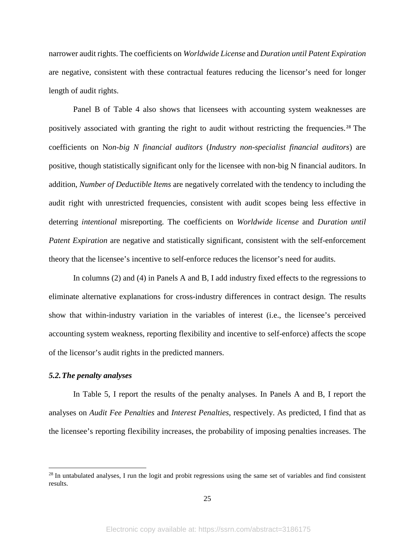narrower audit rights. The coefficients on *Worldwide License* and *Duration until Patent Expiration* are negative, consistent with these contractual features reducing the licensor's need for longer length of audit rights.

Panel B of Table 4 also shows that licensees with accounting system weaknesses are positively associated with granting the right to audit without restricting the frequencies.[28](#page-25-0) The coefficients on N*on-big N financial auditors* (*Industry non-specialist financial auditors*) are positive, though statistically significant only for the licensee with non-big N financial auditors. In addition, *Number of Deductible Items* are negatively correlated with the tendency to including the audit right with unrestricted frequencies, consistent with audit scopes being less effective in deterring *intentional* misreporting. The coefficients on *Worldwide license* and *Duration until Patent Expiration* are negative and statistically significant, consistent with the self-enforcement theory that the licensee's incentive to self-enforce reduces the licensor's need for audits.

In columns (2) and (4) in Panels A and B, I add industry fixed effects to the regressions to eliminate alternative explanations for cross-industry differences in contract design. The results show that within-industry variation in the variables of interest (i.e., the licensee's perceived accounting system weakness, reporting flexibility and incentive to self-enforce) affects the scope of the licensor's audit rights in the predicted manners.

# *5.2.The penalty analyses*

 $\overline{\phantom{a}}$ 

In Table 5, I report the results of the penalty analyses. In Panels A and B, I report the analyses on *Audit Fee Penalties* and *Interest Penalties*, respectively. As predicted, I find that as the licensee's reporting flexibility increases, the probability of imposing penalties increases. The

<span id="page-25-0"></span> $28$  In untabulated analyses, I run the logit and probit regressions using the same set of variables and find consistent results.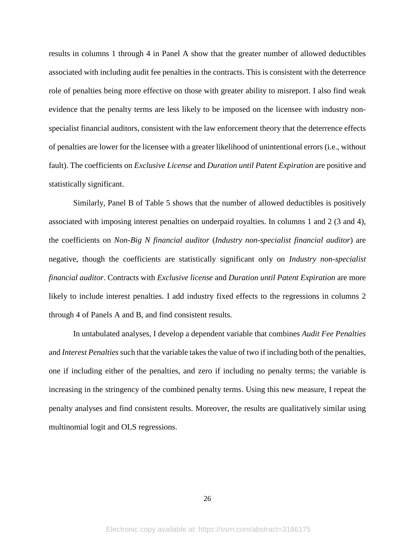results in columns 1 through 4 in Panel A show that the greater number of allowed deductibles associated with including audit fee penalties in the contracts. This is consistent with the deterrence role of penalties being more effective on those with greater ability to misreport. I also find weak evidence that the penalty terms are less likely to be imposed on the licensee with industry nonspecialist financial auditors, consistent with the law enforcement theory that the deterrence effects of penalties are lower for the licensee with a greater likelihood of unintentional errors (i.e., without fault). The coefficients on *Exclusive License* and *Duration until Patent Expiration* are positive and statistically significant.

Similarly, Panel B of Table 5 shows that the number of allowed deductibles is positively associated with imposing interest penalties on underpaid royalties. In columns 1 and 2 (3 and 4), the coefficients on *Non-Big N financial auditor* (*Industry non-specialist financial auditor*) are negative, though the coefficients are statistically significant only on *Industry non-specialist financial auditor*. Contracts with *Exclusive license* and *Duration until Patent Expiration* are more likely to include interest penalties. I add industry fixed effects to the regressions in columns 2 through 4 of Panels A and B, and find consistent results.

In untabulated analyses, I develop a dependent variable that combines *Audit Fee Penalties*  and *Interest Penalties* such that the variable takes the value of two if including both of the penalties, one if including either of the penalties, and zero if including no penalty terms; the variable is increasing in the stringency of the combined penalty terms. Using this new measure, I repeat the penalty analyses and find consistent results. Moreover, the results are qualitatively similar using multinomial logit and OLS regressions.

26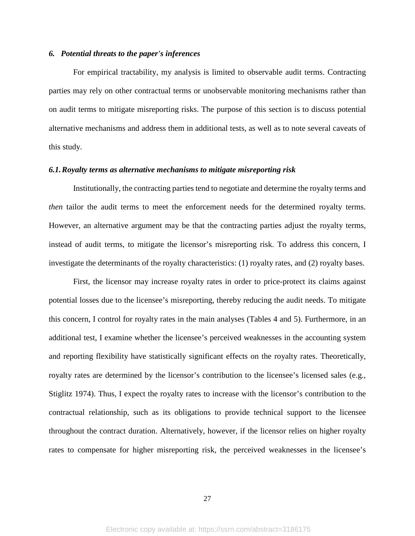# *6. Potential threats to the paper's inferences*

For empirical tractability, my analysis is limited to observable audit terms. Contracting parties may rely on other contractual terms or unobservable monitoring mechanisms rather than on audit terms to mitigate misreporting risks. The purpose of this section is to discuss potential alternative mechanisms and address them in additional tests, as well as to note several caveats of this study.

### *6.1.Royalty terms as alternative mechanisms to mitigate misreporting risk*

Institutionally, the contracting parties tend to negotiate and determine the royalty terms and *then* tailor the audit terms to meet the enforcement needs for the determined royalty terms. However, an alternative argument may be that the contracting parties adjust the royalty terms, instead of audit terms, to mitigate the licensor's misreporting risk. To address this concern, I investigate the determinants of the royalty characteristics: (1) royalty rates, and (2) royalty bases.

First, the licensor may increase royalty rates in order to price-protect its claims against potential losses due to the licensee's misreporting, thereby reducing the audit needs. To mitigate this concern, I control for royalty rates in the main analyses (Tables 4 and 5). Furthermore, in an additional test, I examine whether the licensee's perceived weaknesses in the accounting system and reporting flexibility have statistically significant effects on the royalty rates. Theoretically, royalty rates are determined by the licensor's contribution to the licensee's licensed sales (e.g., Stiglitz 1974). Thus, I expect the royalty rates to increase with the licensor's contribution to the contractual relationship, such as its obligations to provide technical support to the licensee throughout the contract duration. Alternatively, however, if the licensor relies on higher royalty rates to compensate for higher misreporting risk, the perceived weaknesses in the licensee's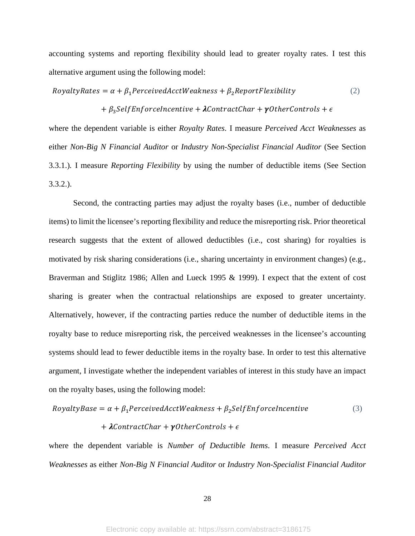accounting systems and reporting flexibility should lead to greater royalty rates. I test this alternative argument using the following model:

*RoyaltyRates* = 
$$
\alpha + \beta_1
$$
*PerceivedAcctWeakness* +  $\beta_2$ *ReportFlexibility* (2)

$$
+\beta_{3} SelfEnforceIncentive + \lambda ContractChar + \gamma OtherControls + \epsilon
$$

where the dependent variable is either *Royalty Rates*. I measure *Perceived Acct Weaknesses* as either *Non-Big N Financial Auditor* or *Industry Non-Specialist Financial Auditor* (See Section 3.3.1.)*.* I measure *Reporting Flexibility* by using the number of deductible items (See Section 3.3.2.).

Second, the contracting parties may adjust the royalty bases (i.e., number of deductible items) to limit the licensee's reporting flexibility and reduce the misreporting risk. Prior theoretical research suggests that the extent of allowed deductibles (i.e., cost sharing) for royalties is motivated by risk sharing considerations (i.e., sharing uncertainty in environment changes) (e.g., Braverman and Stiglitz 1986; Allen and Lueck 1995 & 1999). I expect that the extent of cost sharing is greater when the contractual relationships are exposed to greater uncertainty. Alternatively, however, if the contracting parties reduce the number of deductible items in the royalty base to reduce misreporting risk, the perceived weaknesses in the licensee's accounting systems should lead to fewer deductible items in the royalty base. In order to test this alternative argument, I investigate whether the independent variables of interest in this study have an impact on the royalty bases, using the following model:

*RoyaltyBase* = 
$$
\alpha + \beta_1
$$
*PerceivedAcctWeakness* +  $\beta_2$ *SelfEnforceIncentive* (3)

+  $\lambda$ ContractChar +  $\gamma$ OtherControls +  $\epsilon$ 

where the dependent variable is *Number of Deductible Items*. I measure *Perceived Acct Weaknesses* as either *Non-Big N Financial Auditor* or *Industry Non-Specialist Financial Auditor*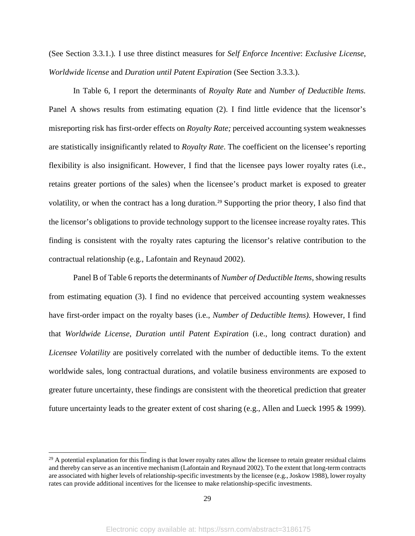(See Section 3.3.1.)*.* I use three distinct measures for *Self Enforce Incentive*: *Exclusive License*, *Worldwide license* and *Duration until Patent Expiration* (See Section 3.3.3.).

In Table 6, I report the determinants of *Royalty Rate* and *Number of Deductible Items.* Panel A shows results from estimating equation (2). I find little evidence that the licensor's misreporting risk has first-order effects on *Royalty Rate;* perceived accounting system weaknesses are statistically insignificantly related to *Royalty Rate*. The coefficient on the licensee's reporting flexibility is also insignificant. However, I find that the licensee pays lower royalty rates (i.e., retains greater portions of the sales) when the licensee's product market is exposed to greater volatility, or when the contract has a long duration. [29](#page-29-0) Supporting the prior theory, I also find that the licensor's obligations to provide technology support to the licensee increase royalty rates. This finding is consistent with the royalty rates capturing the licensor's relative contribution to the contractual relationship (e.g., Lafontain and Reynaud 2002).

Panel B of Table 6 reports the determinants of *Number of Deductible Items*, showing results from estimating equation (3). I find no evidence that perceived accounting system weaknesses have first-order impact on the royalty bases (i.e., *Number of Deductible Items).* However, I find that *Worldwide License*, *Duration until Patent Expiration* (i.e., long contract duration) and *Licensee Volatility* are positively correlated with the number of deductible items. To the extent worldwide sales, long contractual durations, and volatile business environments are exposed to greater future uncertainty, these findings are consistent with the theoretical prediction that greater future uncertainty leads to the greater extent of cost sharing (e.g., Allen and Lueck 1995 & 1999).

 $\overline{\phantom{a}}$ 

<span id="page-29-0"></span> $29$  A potential explanation for this finding is that lower royalty rates allow the licensee to retain greater residual claims and thereby can serve as an incentive mechanism (Lafontain and Reynaud 2002). To the extent that long-term contracts are associated with higher levels of relationship-specific investments by the licensee (e.g., Joskow 1988), lower royalty rates can provide additional incentives for the licensee to make relationship-specific investments.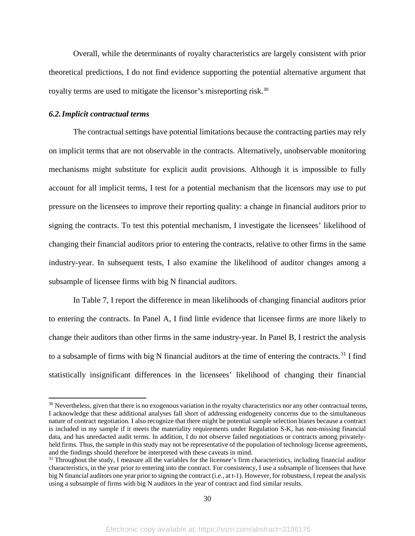Overall, while the determinants of royalty characteristics are largely consistent with prior theoretical predictions, I do not find evidence supporting the potential alternative argument that royalty terms are used to mitigate the licensor's misreporting risk. [30](#page-30-0)

## *6.2.Implicit contractual terms*

 $\overline{\phantom{a}}$ 

The contractual settings have potential limitations because the contracting parties may rely on implicit terms that are not observable in the contracts. Alternatively, unobservable monitoring mechanisms might substitute for explicit audit provisions. Although it is impossible to fully account for all implicit terms, I test for a potential mechanism that the licensors may use to put pressure on the licensees to improve their reporting quality: a change in financial auditors prior to signing the contracts. To test this potential mechanism, I investigate the licensees' likelihood of changing their financial auditors prior to entering the contracts, relative to other firms in the same industry-year. In subsequent tests, I also examine the likelihood of auditor changes among a subsample of licensee firms with big N financial auditors.

In Table 7, I report the difference in mean likelihoods of changing financial auditors prior to entering the contracts. In Panel A, I find little evidence that licensee firms are more likely to change their auditors than other firms in the same industry-year. In Panel B, I restrict the analysis to a subsample of firms with big N financial auditors at the time of entering the contracts.<sup>[31](#page-30-1)</sup> I find statistically insignificant differences in the licensees' likelihood of changing their financial

<span id="page-30-0"></span><sup>&</sup>lt;sup>30</sup> Nevertheless, given that there is no exogenous variation in the royalty characteristics nor any other contractual terms, I acknowledge that these additional analyses fall short of addressing endogeneity concerns due to the simultaneous nature of contract negotiation. I also recognize that there might be potential sample selection biases because a contract is included in my sample if it meets the materiality requirements under Regulation S-K, has non-missing financial data, and has unredacted audit terms. In addition, I do not observe failed negotiations or contracts among privatelyheld firms. Thus, the sample in this study may not be representative of the population of technology license agreements, and the findings should therefore be interpreted with these caveats in mind.

<span id="page-30-1"></span> $31$  Throughout the study, I measure all the variables for the licensee's firm characteristics, including financial auditor characteristics, in the year prior to entering into the contract. For consistency, I use a subsample of licensees that have big N financial auditors one year prior to signing the contract (i.e., at t-1). However, for robustness, I repeat the analysis using a subsample of firms with big N auditors in the year of contract and find similar results.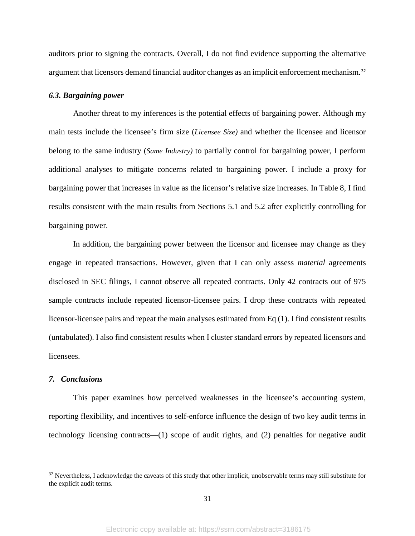auditors prior to signing the contracts. Overall, I do not find evidence supporting the alternative argument that licensors demand financial auditor changes as an implicit enforcement mechanism.<sup>[32](#page-31-0)</sup>

# *6.3. Bargaining power*

Another threat to my inferences is the potential effects of bargaining power. Although my main tests include the licensee's firm size (*Licensee Size)* and whether the licensee and licensor belong to the same industry (*Same Industry)* to partially control for bargaining power, I perform additional analyses to mitigate concerns related to bargaining power. I include a proxy for bargaining power that increases in value as the licensor's relative size increases. In Table 8, I find results consistent with the main results from Sections 5.1 and 5.2 after explicitly controlling for bargaining power.

In addition, the bargaining power between the licensor and licensee may change as they engage in repeated transactions. However, given that I can only assess *material* agreements disclosed in SEC filings, I cannot observe all repeated contracts. Only 42 contracts out of 975 sample contracts include repeated licensor-licensee pairs. I drop these contracts with repeated licensor-licensee pairs and repeat the main analyses estimated from Eq (1). I find consistent results (untabulated). I also find consistent results when I cluster standard errors by repeated licensors and licensees.

# *7. Conclusions*

 $\overline{\phantom{a}}$ 

This paper examines how perceived weaknesses in the licensee's accounting system, reporting flexibility, and incentives to self-enforce influence the design of two key audit terms in technology licensing contracts—(1) scope of audit rights, and (2) penalties for negative audit

<span id="page-31-0"></span> $32$  Nevertheless, I acknowledge the caveats of this study that other implicit, unobservable terms may still substitute for the explicit audit terms.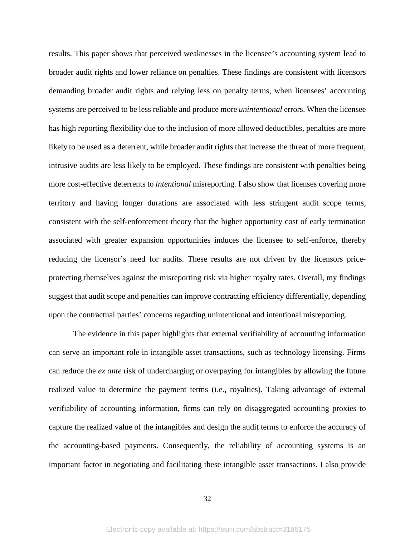results. This paper shows that perceived weaknesses in the licensee's accounting system lead to broader audit rights and lower reliance on penalties. These findings are consistent with licensors demanding broader audit rights and relying less on penalty terms, when licensees' accounting systems are perceived to be less reliable and produce more *unintentional* errors. When the licensee has high reporting flexibility due to the inclusion of more allowed deductibles, penalties are more likely to be used as a deterrent, while broader audit rights that increase the threat of more frequent, intrusive audits are less likely to be employed. These findings are consistent with penalties being more cost-effective deterrents to *intentional* misreporting. I also show that licenses covering more territory and having longer durations are associated with less stringent audit scope terms, consistent with the self-enforcement theory that the higher opportunity cost of early termination associated with greater expansion opportunities induces the licensee to self-enforce, thereby reducing the licensor's need for audits. These results are not driven by the licensors priceprotecting themselves against the misreporting risk via higher royalty rates. Overall, my findings suggest that audit scope and penalties can improve contracting efficiency differentially, depending upon the contractual parties' concerns regarding unintentional and intentional misreporting.

The evidence in this paper highlights that external verifiability of accounting information can serve an important role in intangible asset transactions, such as technology licensing. Firms can reduce the *ex ante* risk of undercharging or overpaying for intangibles by allowing the future realized value to determine the payment terms (i.e., royalties). Taking advantage of external verifiability of accounting information, firms can rely on disaggregated accounting proxies to capture the realized value of the intangibles and design the audit terms to enforce the accuracy of the accounting-based payments. Consequently, the reliability of accounting systems is an important factor in negotiating and facilitating these intangible asset transactions. I also provide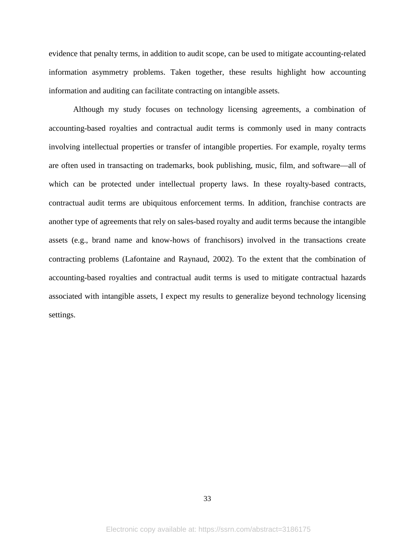evidence that penalty terms, in addition to audit scope, can be used to mitigate accounting-related information asymmetry problems. Taken together, these results highlight how accounting information and auditing can facilitate contracting on intangible assets.

Although my study focuses on technology licensing agreements, a combination of accounting-based royalties and contractual audit terms is commonly used in many contracts involving intellectual properties or transfer of intangible properties. For example, royalty terms are often used in transacting on trademarks, book publishing, music, film, and software—all of which can be protected under intellectual property laws. In these royalty-based contracts, contractual audit terms are ubiquitous enforcement terms. In addition, franchise contracts are another type of agreements that rely on sales-based royalty and audit terms because the intangible assets (e.g., brand name and know-hows of franchisors) involved in the transactions create contracting problems (Lafontaine and Raynaud, 2002). To the extent that the combination of accounting-based royalties and contractual audit terms is used to mitigate contractual hazards associated with intangible assets, I expect my results to generalize beyond technology licensing settings.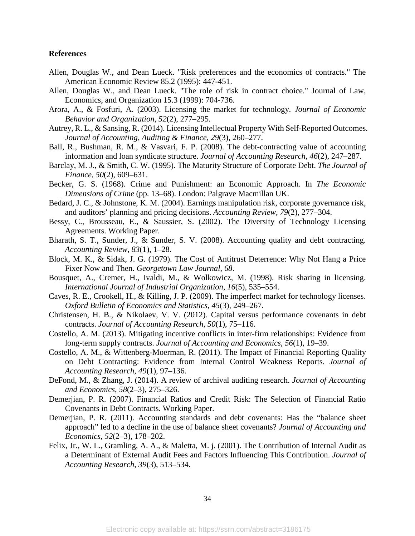#### **References**

- Allen, Douglas W., and Dean Lueck. "Risk preferences and the economics of contracts." The American Economic Review 85.2 (1995): 447-451.
- Allen, Douglas W., and Dean Lueck. "The role of risk in contract choice." Journal of Law, Economics, and Organization 15.3 (1999): 704-736.
- Arora, A., & Fosfuri, A. (2003). Licensing the market for technology. *Journal of Economic Behavior and Organization*, *52*(2), 277–295.
- Autrey, R. L., & Sansing, R. (2014). Licensing Intellectual Property With Self-Reported Outcomes. *Journal of Accounting, Auditing & Finance*, *29*(3), 260–277.
- Ball, R., Bushman, R. M., & Vasvari, F. P. (2008). The debt-contracting value of accounting information and loan syndicate structure. *Journal of Accounting Research*, *46*(2), 247–287.
- Barclay, M. J., & Smith, C. W. (1995). The Maturity Structure of Corporate Debt. *The Journal of Finance*, *50*(2), 609–631.
- Becker, G. S. (1968). Crime and Punishment: an Economic Approach. In *The Economic Dimensions of Crime* (pp. 13–68). London: Palgrave Macmillan UK.
- Bedard, J. C., & Johnstone, K. M. (2004). Earnings manipulation risk, corporate governance risk, and auditors' planning and pricing decisions. *Accounting Review*, *79*(2), 277–304.
- Bessy, C., Brousseau, E., & Saussier, S. (2002). The Diversity of Technology Licensing Agreements. Working Paper.
- Bharath, S. T., Sunder, J., & Sunder, S. V. (2008). Accounting quality and debt contracting. *Accounting Review*, *83*(1), 1–28.
- Block, M. K., & Sidak, J. G. (1979). The Cost of Antitrust Deterrence: Why Not Hang a Price Fixer Now and Then. *Georgetown Law Journal*, *68*.
- Bousquet, A., Cremer, H., Ivaldi, M., & Wolkowicz, M. (1998). Risk sharing in licensing. *International Journal of Industrial Organization*, *16*(5), 535–554.
- Caves, R. E., Crookell, H., & Killing, J. P. (2009). The imperfect market for technology licenses. *Oxford Bulletin of Economics and Statistics*, *45*(3), 249–267.
- Christensen, H. B., & Nikolaev, V. V. (2012). Capital versus performance covenants in debt contracts. *Journal of Accounting Research*, *50*(1), 75–116.
- Costello, A. M. (2013). Mitigating incentive conflicts in inter-firm relationships: Evidence from long-term supply contracts. *Journal of Accounting and Economics*, *56*(1), 19–39.
- Costello, A. M., & Wittenberg-Moerman, R. (2011). The Impact of Financial Reporting Quality on Debt Contracting: Evidence from Internal Control Weakness Reports. *Journal of Accounting Research*, *49*(1), 97–136.
- DeFond, M., & Zhang, J. (2014). A review of archival auditing research. *Journal of Accounting and Economics*, *58*(2–3), 275–326.
- Demerjian, P. R. (2007). Financial Ratios and Credit Risk: The Selection of Financial Ratio Covenants in Debt Contracts. Working Paper.
- Demerjian, P. R. (2011). Accounting standards and debt covenants: Has the "balance sheet approach" led to a decline in the use of balance sheet covenants? *Journal of Accounting and Economics*, *52*(2–3), 178–202.
- Felix, Jr., W. L., Gramling, A. A., & Maletta, M. j. (2001). The Contribution of Internal Audit as a Determinant of External Audit Fees and Factors Influencing This Contribution. *Journal of Accounting Research*, *39*(3), 513–534.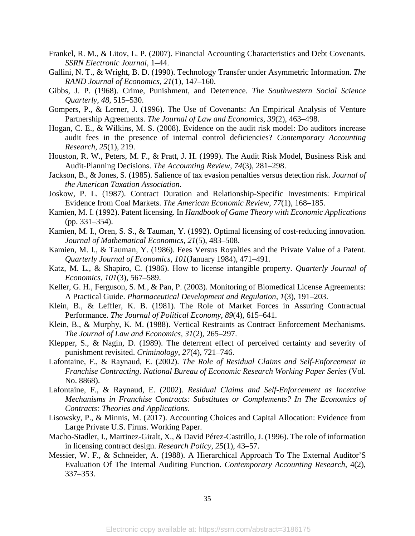- Frankel, R. M., & Litov, L. P. (2007). Financial Accounting Characteristics and Debt Covenants. *SSRN Electronic Journal*, 1–44.
- Gallini, N. T., & Wright, B. D. (1990). Technology Transfer under Asymmetric Information. *The RAND Journal of Economics*, *21*(1), 147–160.
- Gibbs, J. P. (1968). Crime, Punishment, and Deterrence. *The Southwestern Social Science Quarterly*, *48*, 515–530.
- Gompers, P., & Lerner, J. (1996). The Use of Covenants: An Empirical Analysis of Venture Partnership Agreements. *The Journal of Law and Economics*, *39*(2), 463–498.
- Hogan, C. E., & Wilkins, M. S. (2008). Evidence on the audit risk model: Do auditors increase audit fees in the presence of internal control deficiencies? *Contemporary Accounting Research*, *25*(1), 219.
- Houston, R. W., Peters, M. F., & Pratt, J. H. (1999). The Audit Risk Model, Business Risk and Audit‐Planning Decisions. *The Accounting Review*, *74*(3), 281–298.
- Jackson, B., & Jones, S. (1985). Salience of tax evasion penalties versus detection risk. *Journal of the American Taxation Association*.
- Joskow, P. L. (1987). Contract Duration and Relationship-Specific Investments: Empirical Evidence from Coal Markets. *The American Economic Review*, *77*(1), 168–185.
- Kamien, M. I. (1992). Patent licensing. In *Handbook of Game Theory with Economic Applications* (pp. 331–354).
- Kamien, M. I., Oren, S. S., & Tauman, Y. (1992). Optimal licensing of cost-reducing innovation. *Journal of Mathematical Economics*, *21*(5), 483–508.
- Kamien, M. I., & Tauman, Y. (1986). Fees Versus Royalties and the Private Value of a Patent. *Quarterly Journal of Economics*, *101*(January 1984), 471–491.
- Katz, M. L., & Shapiro, C. (1986). How to license intangible property. *Quarterly Journal of Economics*, *101*(3), 567–589.
- Keller, G. H., Ferguson, S. M., & Pan, P. (2003). Monitoring of Biomedical License Agreements: A Practical Guide. *Pharmaceutical Development and Regulation*, *1*(3), 191–203.
- Klein, B., & Leffler, K. B. (1981). The Role of Market Forces in Assuring Contractual Performance. *The Journal of Political Economy*, *89*(4), 615–641.
- Klein, B., & Murphy, K. M. (1988). Vertical Restraints as Contract Enforcement Mechanisms. *The Journal of Law and Economics*, *31*(2), 265–297.
- Klepper, S., & Nagin, D. (1989). The deterrent effect of perceived certainty and severity of punishment revisited. *Criminology*, *27*(4), 721–746.
- Lafontaine, F., & Raynaud, E. (2002). *The Role of Residual Claims and Self-Enforcement in Franchise Contracting*. *National Bureau of Economic Research Working Paper Series* (Vol. No. 8868).
- Lafontaine, F., & Raynaud, E. (2002). *Residual Claims and Self-Enforcement as Incentive Mechanisms in Franchise Contracts: Substitutes or Complements? In The Economics of Contracts: Theories and Applications*.
- Lisowsky, P., & Minnis, M. (2017). Accounting Choices and Capital Allocation: Evidence from Large Private U.S. Firms. Working Paper.
- Macho-Stadler, I., Martinez-Giralt, X., & David Pérez-Castrillo, J. (1996). The role of information in licensing contract design. *Research Policy*, *25*(1), 43–57.
- Messier, W. F., & Schneider, A. (1988). A Hierarchical Approach To The External Auditor'S Evaluation Of The Internal Auditing Function. *Contemporary Accounting Research*, 4(2), 337–353.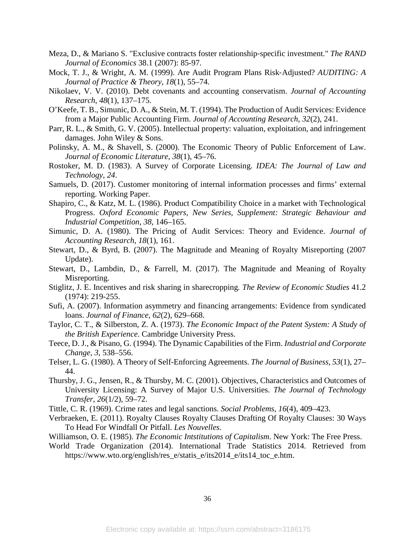- Meza, D., & Mariano S. "Exclusive contracts foster relationship‐specific investment." *The RAND Journal of Economics* 38.1 (2007): 85-97.
- Mock, T. J., & Wright, A. M. (1999). Are Audit Program Plans Risk‐Adjusted? *AUDITING: A Journal of Practice & Theory*, *18*(1), 55–74.
- Nikolaev, V. V. (2010). Debt covenants and accounting conservatism. *Journal of Accounting Research*, *48*(1), 137–175.
- O'Keefe, T. B., Simunic, D. A., & Stein, M. T. (1994). The Production of Audit Services: Evidence from a Major Public Accounting Firm. *Journal of Accounting Research*, *32*(2), 241.
- Parr, R. L., & Smith, G. V. (2005). Intellectual property: valuation, exploitation, and infringement damages. John Wiley & Sons.
- Polinsky, A. M., & Shavell, S. (2000). The Economic Theory of Public Enforcement of Law. *Journal of Economic Literature*, *38*(1), 45–76.
- Rostoker, M. D. (1983). A Survey of Corporate Licensing. *IDEA: The Journal of Law and Technology*, *24*.
- Samuels, D. (2017). Customer monitoring of internal information processes and firms' external reporting. Working Paper.
- Shapiro, C., & Katz, M. L. (1986). Product Compatibility Choice in a market with Technological Progress. *Oxford Economic Papers, New Series, Supplement: Strategic Behaviour and Industrial Competition*, *38*, 146–165.
- Simunic, D. A. (1980). The Pricing of Audit Services: Theory and Evidence. *Journal of Accounting Research*, *18*(1), 161.
- Stewart, D., & Byrd, B. (2007). The Magnitude and Meaning of Royalty Misreporting (2007 Update).
- Stewart, D., Lambdin, D., & Farrell, M. (2017). The Magnitude and Meaning of Royalty Misreporting.
- Stiglitz, J. E. Incentives and risk sharing in sharecropping*. The Review of Economic Studies* 41.2 (1974): 219-255.
- Sufi, A. (2007). Information asymmetry and financing arrangements: Evidence from syndicated loans. *Journal of Finance*, *62*(2), 629–668.
- Taylor, C. T., & Silberston, Z. A. (1973). *The Economic Impact of the Patent System: A Study of the British Experience*. Cambridge University Press.
- Teece, D. J., & Pisano, G. (1994). The Dynamic Capabilities of the Firm. *Industrial and Corporate Change*, *3*, 538–556.
- Telser, L. G. (1980). A Theory of Self-Enforcing Agreements. *The Journal of Business*, *53*(1), 27– 44.
- Thursby, J. G., Jensen, R., & Thursby, M. C. (2001). Objectives, Characteristics and Outcomes of University Licensing: A Survey of Major U.S. Universities. *The Journal of Technology Transfer*, *26*(1/2), 59–72.
- Tittle, C. R. (1969). Crime rates and legal sanctions. *Social Problems*, *16*(4), 409–423.
- Verbraeken, E. (2011). Royalty Clauses Royalty Clauses Drafting Of Royalty Clauses: 30 Ways To Head For Windfall Or Pitfall. *Les Nouvelles*.
- Williamson, O. E. (1985). *The Economic Intstitutions of Capitalism*. New York: The Free Press.
- World Trade Organization (2014). International Trade Statistics 2014. Retrieved from https://www.wto.org/english/res\_e/statis\_e/its2014\_e/its14\_toc\_e.htm.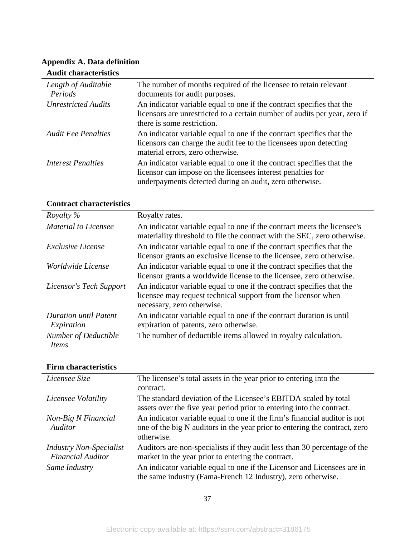# **Appendix A. Data definition**

# **Audit characteristics**

| Length of Auditable<br>Periods | The number of months required of the licensee to retain relevant<br>documents for audit purposes.                                                                                               |
|--------------------------------|-------------------------------------------------------------------------------------------------------------------------------------------------------------------------------------------------|
| <b>Unrestricted Audits</b>     | An indicator variable equal to one if the contract specifies that the<br>licensors are unrestricted to a certain number of audits per year, zero if<br>there is some restriction.               |
| <b>Audit Fee Penalties</b>     | An indicator variable equal to one if the contract specifies that the<br>licensors can charge the audit fee to the licensees upon detecting<br>material errors, zero otherwise.                 |
| <b>Interest Penalties</b>      | An indicator variable equal to one if the contract specifies that the<br>licensor can impose on the licensees interest penalties for<br>underpayments detected during an audit, zero otherwise. |

# **Contract characteristics**

| Contract characteristics                   |                                                                                                                                                                      |
|--------------------------------------------|----------------------------------------------------------------------------------------------------------------------------------------------------------------------|
| Royalty %                                  | Royalty rates.                                                                                                                                                       |
| <b>Material to Licensee</b>                | An indicator variable equal to one if the contract meets the licensee's<br>materiality threshold to file the contract with the SEC, zero otherwise.                  |
| <b>Exclusive License</b>                   | An indicator variable equal to one if the contract specifies that the<br>licensor grants an exclusive license to the licensee, zero otherwise.                       |
| Worldwide License                          | An indicator variable equal to one if the contract specifies that the<br>licensor grants a worldwide license to the licensee, zero otherwise.                        |
| Licensor's Tech Support                    | An indicator variable equal to one if the contract specifies that the<br>licensee may request technical support from the licensor when<br>necessary, zero otherwise. |
| <b>Duration until Patent</b><br>Expiration | An indicator variable equal to one if the contract duration is until<br>expiration of patents, zero otherwise.                                                       |
| Number of Deductible<br><i>Items</i>       | The number of deductible items allowed in royalty calculation.                                                                                                       |

# **Firm characteristics**

| Licensee Size                                              | The licensee's total assets in the year prior to entering into the<br>contract.                                                                                       |
|------------------------------------------------------------|-----------------------------------------------------------------------------------------------------------------------------------------------------------------------|
| <i>Licensee Volatility</i>                                 | The standard deviation of the Licensee's EBITDA scaled by total<br>assets over the five year period prior to entering into the contract.                              |
| Non-Big N Financial<br>Auditor                             | An indicator variable equal to one if the firm's financial auditor is not<br>one of the big N auditors in the year prior to entering the contract, zero<br>otherwise. |
| <b>Industry Non-Specialist</b><br><b>Financial Auditor</b> | Auditors are non-specialists if they audit less than 30 percentage of the<br>market in the year prior to entering the contract.                                       |
| Same Industry                                              | An indicator variable equal to one if the Licensor and Licensees are in<br>the same industry (Fama-French 12 Industry), zero otherwise.                               |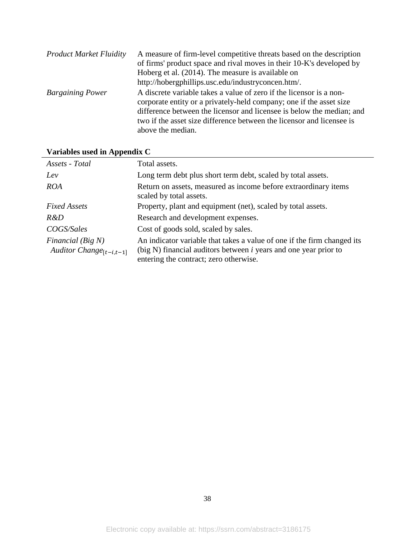| <b>Product Market Fluidity</b> | A measure of firm-level competitive threats based on the description<br>of firms' product space and rival moves in their 10-K's developed by<br>Hoberg et al. (2014). The measure is available on                                                                                                                 |
|--------------------------------|-------------------------------------------------------------------------------------------------------------------------------------------------------------------------------------------------------------------------------------------------------------------------------------------------------------------|
|                                | http://hobergphillips.usc.edu/industryconcen.htm/.                                                                                                                                                                                                                                                                |
| <b>Bargaining Power</b>        | A discrete variable takes a value of zero if the licensor is a non-<br>corporate entity or a privately-held company; one if the asset size<br>difference between the licensor and licensee is below the median; and<br>two if the asset size difference between the licensor and licensee is<br>above the median. |

# **Variables used in Appendix C**

| Assets - Total                                     | Total assets.                                                                                                                                                                           |
|----------------------------------------------------|-----------------------------------------------------------------------------------------------------------------------------------------------------------------------------------------|
| Lev                                                | Long term debt plus short term debt, scaled by total assets.                                                                                                                            |
| <b>ROA</b>                                         | Return on assets, measured as income before extraordinary items<br>scaled by total assets.                                                                                              |
| <b>Fixed Assets</b>                                | Property, plant and equipment (net), scaled by total assets.                                                                                                                            |
| R&D                                                | Research and development expenses.                                                                                                                                                      |
| COGS/Sales                                         | Cost of goods sold, scaled by sales.                                                                                                                                                    |
| Financial (Big $N$ )<br>Auditor Change $[t-i,t-1]$ | An indicator variable that takes a value of one if the firm changed its<br>(big N) financial auditors between $i$ years and one year prior to<br>entering the contract; zero otherwise. |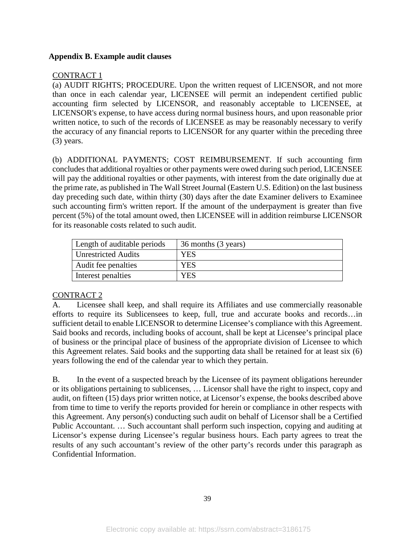# **Appendix B. Example audit clauses**

# CONTRACT 1

(a) AUDIT RIGHTS; PROCEDURE. Upon the written request of LICENSOR, and not more than once in each calendar year, LICENSEE will permit an independent certified public accounting firm selected by LICENSOR, and reasonably acceptable to LICENSEE, at LICENSOR's expense, to have access during normal business hours, and upon reasonable prior written notice, to such of the records of LICENSEE as may be reasonably necessary to verify the accuracy of any financial reports to LICENSOR for any quarter within the preceding three (3) years.

(b) ADDITIONAL PAYMENTS; COST REIMBURSEMENT. If such accounting firm concludes that additional royalties or other payments were owed during such period, LICENSEE will pay the additional royalties or other payments, with interest from the date originally due at the prime rate, as published in The Wall Street Journal (Eastern U.S. Edition) on the last business day preceding such date, within thirty (30) days after the date Examiner delivers to Examinee such accounting firm's written report. If the amount of the underpayment is greater than five percent (5%) of the total amount owed, then LICENSEE will in addition reimburse LICENSOR for its reasonable costs related to such audit.

| Length of auditable periods | 36 months (3 years) |
|-----------------------------|---------------------|
| <b>Unrestricted Audits</b>  | YES                 |
| Audit fee penalties         | YES                 |
| Interest penalties          | YES                 |

# CONTRACT 2

A. Licensee shall keep, and shall require its Affiliates and use commercially reasonable efforts to require its Sublicensees to keep, full, true and accurate books and records…in sufficient detail to enable LICENSOR to determine Licensee's compliance with this Agreement. Said books and records, including books of account, shall be kept at Licensee's principal place of business or the principal place of business of the appropriate division of Licensee to which this Agreement relates. Said books and the supporting data shall be retained for at least six (6) years following the end of the calendar year to which they pertain.

B. In the event of a suspected breach by the Licensee of its payment obligations hereunder or its obligations pertaining to sublicenses, … Licensor shall have the right to inspect, copy and audit, on fifteen (15) days prior written notice, at Licensor's expense, the books described above from time to time to verify the reports provided for herein or compliance in other respects with this Agreement. Any person(s) conducting such audit on behalf of Licensor shall be a Certified Public Accountant. … Such accountant shall perform such inspection, copying and auditing at Licensor's expense during Licensee's regular business hours. Each party agrees to treat the results of any such accountant's review of the other party's records under this paragraph as Confidential Information.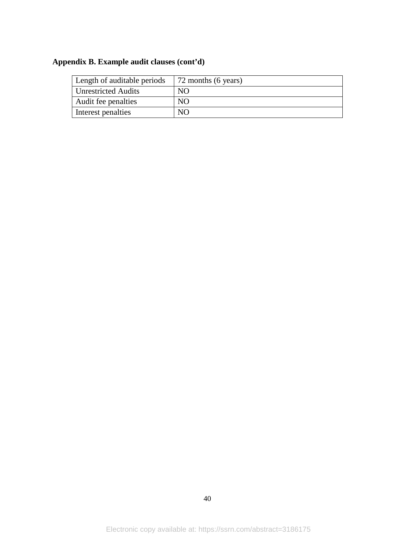# **Appendix B. Example audit clauses (cont'd)**

| Length of auditable periods | 72 months (6 years) |
|-----------------------------|---------------------|
| <b>Unrestricted Audits</b>  | NО                  |
| Audit fee penalties         | NO                  |
| Interest penalties          | NO.                 |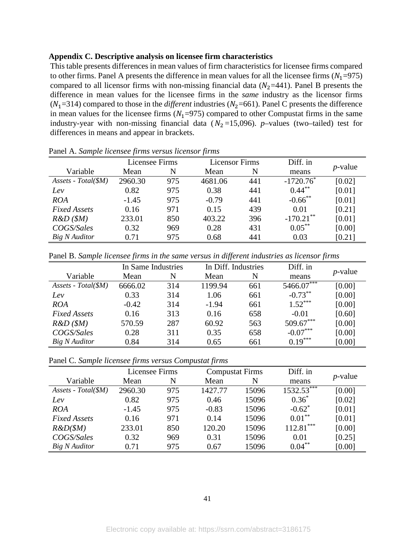#### **Appendix C. Descriptive analysis on licensee firm characteristics**

This table presents differences in mean values of firm characteristics for licensee firms compared to other firms. Panel A presents the difference in mean values for all the licensee firms  $(N_1=975)$ compared to all licensor firms with non-missing financial data  $(N_2=441)$ . Panel B presents the difference in mean values for the licensee firms in the *same* industry as the licensor firms  $(N_1=314)$  compared to those in the *different* industries  $(N_2=661)$ . Panel C presents the difference in mean values for the licensee firms  $(N_1=975)$  compared to other Compustat firms in the same industry-year with non-missing financial data ( $N_2$ =15,096). *p*-values (two–tailed) test for differences in means and appear in brackets.

|                        | Licensee Firms |     | <b>Licensor Firms</b> |     | Diff. in                | $p$ -value |
|------------------------|----------------|-----|-----------------------|-----|-------------------------|------------|
| Variable               | Mean           | N   | Mean                  | N   | means                   |            |
| $Assets$ - $Total(SM)$ | 2960.30        | 975 | 4681.06               | 441 | $-1720.76$ <sup>*</sup> | [0.02]     |
| Lev                    | 0.82           | 975 | 0.38                  | 441 | $0.44***$               | [0.01]     |
| <b>ROA</b>             | $-1.45$        | 975 | $-0.79$               | 441 | $-0.66$ **              | [0.01]     |
| <b>Fixed Assets</b>    | 0.16           | 971 | 0.15                  | 439 | 0.01                    | [0.21]     |
| R&D(SM)                | 233.01         | 850 | 403.22                | 396 | $-170.21$ **            | [0.01]     |
| COGS/Sales             | 0.32           | 969 | 0.28                  | 431 | $0.05***$               | [0.00]     |
| Big N Auditor          | 0.71           | 975 | 0.68                  | 441 | 0.03                    | [0.21]     |

Panel A. *Sample licensee firms versus licensor firms* 

Panel B. *Sample licensee firms in the same versus in different industries as licensor firms*

|                           | In Same Industries |     | In Diff. Industries |     | Diff. in     |            |
|---------------------------|--------------------|-----|---------------------|-----|--------------|------------|
| Variable                  | Mean               | N   | Mean                | N   | means        | $p$ -value |
| $Assets$ - $Total({\S}M)$ | 6666.02            | 314 | 1199.94             | 661 | $5466.07***$ | [0.00]     |
| Lev                       | 0.33               | 314 | 1.06                | 661 | $-0.73***$   | [0.00]     |
| <b>ROA</b>                | $-0.42$            | 314 | $-1.94$             | 661 | $1.52***$    | [0.00]     |
| <b>Fixed Assets</b>       | 0.16               | 313 | 0.16                | 658 | $-0.01$      | [0.60]     |
| R&D(\$M)                  | 570.59             | 287 | 60.92               | 563 | $509.67***$  | [0.00]     |
| COGS/Sales                | 0.28               | 311 | 0.35                | 658 | $-0.07***$   | [0.00]     |
| <b>Big N</b> Auditor      | 0.84               | 314 | 0.65                | 661 | $0.19***$    | [0.00]     |

Panel C. *Sample licensee firms versus Compustat firms*

|                        | Licensee Firms |     | <b>Compustat Firms</b> |       | Diff. in     |            |  |
|------------------------|----------------|-----|------------------------|-------|--------------|------------|--|
| Variable               | Mean           | N   | Mean                   | N     | means        | $p$ -value |  |
| $Assets$ - $Total(SM)$ | 2960.30        | 975 | 1427.77                | 15096 | $1532.53***$ | [0.00]     |  |
| Lev                    | 0.82           | 975 | 0.46                   | 15096 | $0.36^*$     | [0.02]     |  |
| ROA                    | $-1.45$        | 975 | $-0.83$                | 15096 | $-0.62^*$    | [0.01]     |  |
| <b>Fixed Assets</b>    | 0.16           | 971 | 0.14                   | 15096 | $0.01***$    | [0.01]     |  |
| R&D(\$M)               | 233.01         | 850 | 120.20                 | 15096 | $112.81***$  | [0.00]     |  |
| COGS/Sales             | 0.32           | 969 | 0.31                   | 15096 | 0.01         | [0.25]     |  |
| Big N Auditor          | 0.71           | 975 | 0.67                   | 15096 | $0.04***$    | [0.00]     |  |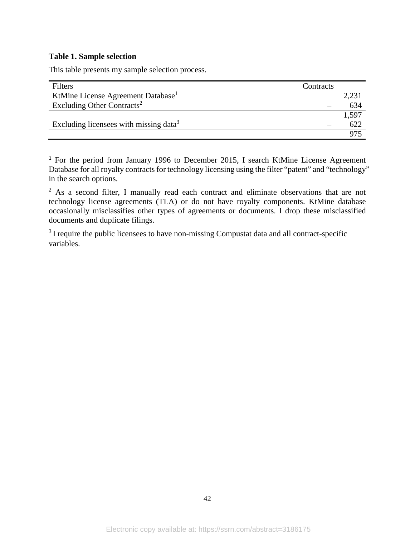# **Table 1. Sample selection**

This table presents my sample selection process.

| Filters                                            | Contracts |       |
|----------------------------------------------------|-----------|-------|
| KtMine License Agreement Database <sup>1</sup>     |           | 2,231 |
| Excluding Other Contracts <sup>2</sup>             |           | 634   |
|                                                    |           | 1,597 |
| Excluding licensees with missing data <sup>3</sup> |           | 622   |
|                                                    |           |       |

<sup>1</sup> For the period from January 1996 to December 2015, I search KtMine License Agreement Database for all royalty contracts for technology licensing using the filter "patent" and "technology" in the search options.

<sup>2</sup> As a second filter, I manually read each contract and eliminate observations that are not technology license agreements (TLA) or do not have royalty components. KtMine database occasionally misclassifies other types of agreements or documents. I drop these misclassified documents and duplicate filings.

<sup>3</sup> I require the public licensees to have non-missing Compustat data and all contract-specific variables.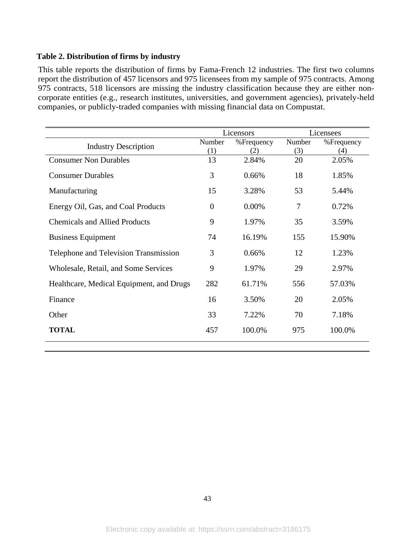# **Table 2. Distribution of firms by industry**

This table reports the distribution of firms by Fama-French 12 industries. The first two columns report the distribution of 457 licensors and 975 licensees from my sample of 975 contracts. Among 975 contracts, 518 licensors are missing the industry classification because they are either noncorporate entities (e.g., research institutes, universities, and government agencies), privately-held companies, or publicly-traded companies with missing financial data on Compustat.

|                                          | Licensors      |            |        | Licensees  |
|------------------------------------------|----------------|------------|--------|------------|
| <b>Industry Description</b>              | Number         | %Frequency | Number | %Frequency |
|                                          | (1)            | (2)        | (3)    | (4)        |
| <b>Consumer Non Durables</b>             | 13             | 2.84%      | 20     | 2.05%      |
| <b>Consumer Durables</b>                 | 3              | 0.66%      | 18     | 1.85%      |
| Manufacturing                            | 15             | 3.28%      | 53     | 5.44%      |
| Energy Oil, Gas, and Coal Products       | $\overline{0}$ | $0.00\%$   | 7      | 0.72%      |
| <b>Chemicals and Allied Products</b>     | 9              | 1.97%      | 35     | 3.59%      |
| <b>Business Equipment</b>                | 74             | 16.19%     | 155    | 15.90%     |
| Telephone and Television Transmission    | 3              | 0.66%      | 12     | 1.23%      |
| Wholesale, Retail, and Some Services     | 9              | 1.97%      | 29     | 2.97%      |
| Healthcare, Medical Equipment, and Drugs | 282            | 61.71%     | 556    | 57.03%     |
| Finance                                  | 16             | 3.50%      | 20     | 2.05%      |
| Other                                    | 33             | 7.22%      | 70     | 7.18%      |
| <b>TOTAL</b>                             | 457            | 100.0%     | 975    | 100.0%     |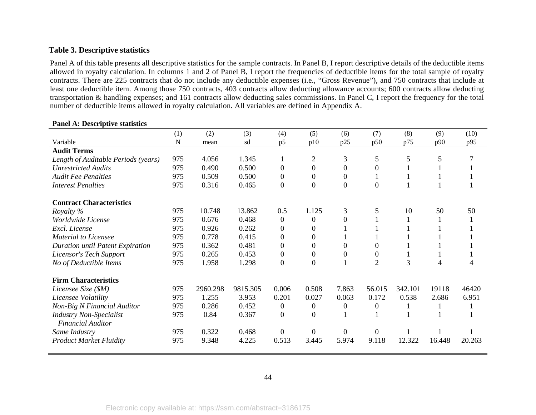# **Table 3. Descriptive statistics**

Panel A of this table presents all descriptive statistics for the sample contracts. In Panel B, I report descriptive details of the deductible items allowed in royalty calculation. In columns 1 and 2 of Panel B, I report the frequencies of deductible items for the total sample of royalty contracts. There are 225 contracts that do not include any deductible expenses (i.e., "Gross Revenue"), and 750 contracts that include at least one deductible item. Among those 750 contracts, 403 contracts allow deducting allowance accounts; 600 contracts allow deducting transportation & handling expenses; and 161 contracts allow deducting sales commissions. In Panel C, I report the frequency for the total number of deductible items allowed in royalty calculation. All variables are defined in Appendix A.

|                                                            | (1) | (2)      | (3)      | (4)              | (5)              | (6)              | (7)            | (8)     | (9)    | (10)   |
|------------------------------------------------------------|-----|----------|----------|------------------|------------------|------------------|----------------|---------|--------|--------|
| Variable                                                   | N   | mean     | sd       | p5               | p10              | p25              | p50            | p75     | p90    | p95    |
| <b>Audit Terms</b>                                         |     |          |          |                  |                  |                  |                |         |        |        |
| Length of Auditable Periods (years)                        | 975 | 4.056    | 1.345    |                  | $\overline{2}$   | 3                | 5              | 5       | 5      |        |
| <b>Unrestricted Audits</b>                                 | 975 | 0.490    | 0.500    | $\boldsymbol{0}$ | $\mathbf{0}$     | $\boldsymbol{0}$ | $\Omega$       |         |        |        |
| <b>Audit Fee Penalties</b>                                 | 975 | 0.509    | 0.500    | $\overline{0}$   | $\theta$         | $\theta$         |                |         |        |        |
| <b>Interest Penalties</b>                                  | 975 | 0.316    | 0.465    | $\boldsymbol{0}$ | $\boldsymbol{0}$ | $\boldsymbol{0}$ | $\theta$       |         |        |        |
| <b>Contract Characteristics</b>                            |     |          |          |                  |                  |                  |                |         |        |        |
| Royalty %                                                  | 975 | 10.748   | 13.862   | 0.5              | 1.125            | 3                | 5              | 10      | 50     | 50     |
| Worldwide License                                          | 975 | 0.676    | 0.468    | $\Omega$         | $\Omega$         | $\Omega$         |                |         |        |        |
| Excl. License                                              | 975 | 0.926    | 0.262    | $\Omega$         | $\Omega$         |                  |                |         |        |        |
| <b>Material to Licensee</b>                                | 975 | 0.778    | 0.415    | $\Omega$         | $\Omega$         |                  |                |         |        |        |
| <b>Duration until Patent Expiration</b>                    | 975 | 0.362    | 0.481    | $\overline{0}$   | $\Omega$         | $\Omega$         |                |         |        |        |
| Licensor's Tech Support                                    | 975 | 0.265    | 0.453    | $\overline{0}$   | $\Omega$         | $\Omega$         | $\theta$       |         |        |        |
| No of Deductible Items                                     | 975 | 1.958    | 1.298    | $\boldsymbol{0}$ | $\boldsymbol{0}$ |                  | $\overline{2}$ | 3       | 4      |        |
| <b>Firm Characteristics</b>                                |     |          |          |                  |                  |                  |                |         |        |        |
| Licensee Size (\$M)                                        | 975 | 2960.298 | 9815.305 | 0.006            | 0.508            | 7.863            | 56.015         | 342.101 | 19118  | 46420  |
| Licensee Volatility                                        | 975 | 1.255    | 3.953    | 0.201            | 0.027            | 0.063            | 0.172          | 0.538   | 2.686  | 6.951  |
| <b>Non-Big N Financial Auditor</b>                         | 975 | 0.286    | 0.452    | $\mathbf{0}$     | $\theta$         | $\theta$         | $\theta$       |         |        |        |
| <b>Industry Non-Specialist</b><br><b>Financial Auditor</b> | 975 | 0.84     | 0.367    | $\overline{0}$   | $\theta$         |                  |                |         |        |        |
| Same Industry                                              | 975 | 0.322    | 0.468    | $\Omega$         | $\overline{0}$   | $\Omega$         | $\Omega$       |         |        |        |
| <b>Product Market Fluidity</b>                             | 975 | 9.348    | 4.225    | 0.513            | 3.445            | 5.974            | 9.118          | 12.322  | 16.448 | 20.263 |

#### **Panel A: Descriptive statistics**

44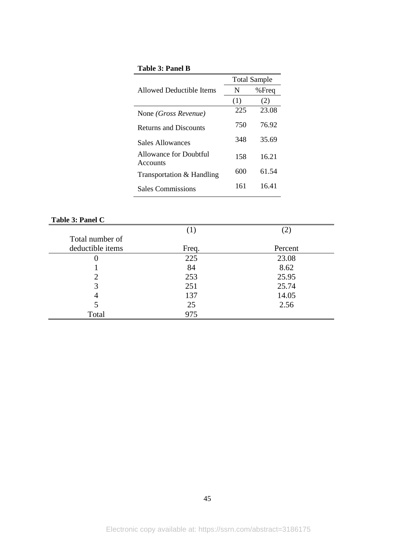|                                    |     | <b>Total Sample</b> |
|------------------------------------|-----|---------------------|
| Allowed Deductible Items           | N   | % Freq              |
|                                    | (1) | (2)                 |
| None <i>(Gross Revenue)</i>        | 225 | 23.08               |
| <b>Returns and Discounts</b>       | 750 | 76.92               |
| Sales Allowances                   | 348 | 35.69               |
| Allowance for Doubtful<br>Accounts | 158 | 16.21               |
| Transportation & Handling          | 600 | 61.54               |
| <b>Sales Commissions</b>           | 161 | 16.41               |

# **Table 3: Panel C**

|                  |       | $\left( 2\right)$ |
|------------------|-------|-------------------|
| Total number of  |       |                   |
| deductible items | Freq. | Percent           |
| U                | 225   | 23.08             |
|                  | 84    | 8.62              |
| $\overline{2}$   | 253   | 25.95             |
| 3                | 251   | 25.74             |
| 4                | 137   | 14.05             |
| 5                | 25    | 2.56              |
| Total            | 975   |                   |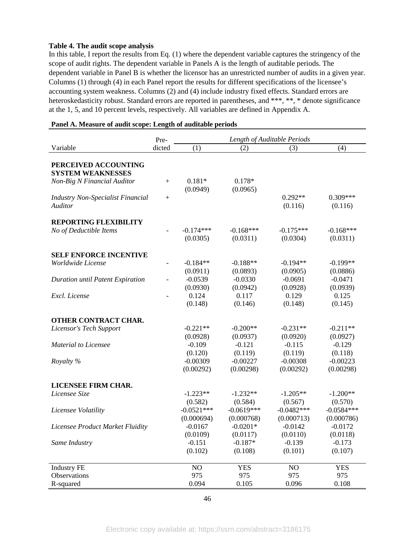## **Table 4. The audit scope analysis**

In this table, I report the results from Eq. (1) where the dependent variable captures the stringency of the scope of audit rights. The dependent variable in Panels A is the length of auditable periods. The dependent variable in Panel B is whether the licensor has an unrestricted number of audits in a given year. Columns (1) through (4) in each Panel report the results for different specifications of the licensee's accounting system weakness. Columns (2) and (4) include industry fixed effects. Standard errors are heteroskedasticity robust. Standard errors are reported in parentheses, and \*\*\*, \*\*, \* denote significance at the 1, 5, and 10 percent levels, respectively. All variables are defined in Appendix A.

|                                                  | Pre-   |              |              | Length of Auditable Periods |              |
|--------------------------------------------------|--------|--------------|--------------|-----------------------------|--------------|
| Variable                                         | dicted | (1)          | (2)          | (3)                         | (4)          |
|                                                  |        |              |              |                             |              |
| PERCEIVED ACCOUNTING<br><b>SYSTEM WEAKNESSES</b> |        |              |              |                             |              |
| <b>Non-Big N Financial Auditor</b>               | $+$    | $0.181*$     | $0.178*$     |                             |              |
|                                                  |        | (0.0949)     | (0.0965)     |                             |              |
| <b>Industry Non-Specialist Financial</b>         | $^{+}$ |              |              | $0.292**$                   | $0.309***$   |
| Auditor                                          |        |              |              | (0.116)                     | (0.116)      |
|                                                  |        |              |              |                             |              |
| <b>REPORTING FLEXIBILITY</b>                     |        |              |              |                             |              |
| No of Deductible Items                           |        | $-0.174***$  | $-0.168***$  | $-0.175***$                 | $-0.168***$  |
|                                                  |        | (0.0305)     | (0.0311)     | (0.0304)                    | (0.0311)     |
| <b>SELF ENFORCE INCENTIVE</b>                    |        |              |              |                             |              |
| Worldwide License                                |        | $-0.184**$   | $-0.188**$   | $-0.194**$                  | $-0.199**$   |
|                                                  |        | (0.0911)     | (0.0893)     | (0.0905)                    | (0.0886)     |
| <b>Duration until Patent Expiration</b>          |        | $-0.0539$    | $-0.0330$    | $-0.0691$                   | $-0.0471$    |
|                                                  |        | (0.0930)     | (0.0942)     | (0.0928)                    | (0.0939)     |
| Excl. License                                    |        | 0.124        | 0.117        | 0.129                       | 0.125        |
|                                                  |        | (0.148)      | (0.146)      | (0.148)                     | (0.145)      |
| <b>OTHER CONTRACT CHAR.</b>                      |        |              |              |                             |              |
| Licensor's Tech Support                          |        | $-0.221**$   | $-0.200**$   | $-0.231**$                  | $-0.211**$   |
|                                                  |        | (0.0928)     | (0.0937)     | (0.0920)                    | (0.0927)     |
| Material to Licensee                             |        | $-0.109$     | $-0.121$     | $-0.115$                    | $-0.129$     |
|                                                  |        | (0.120)      | (0.119)      | (0.119)                     | (0.118)      |
| Royalty %                                        |        | $-0.00309$   | $-0.00227$   | $-0.00308$                  | $-0.00223$   |
|                                                  |        | (0.00292)    | (0.00298)    | (0.00292)                   | (0.00298)    |
| LICENSEE FIRM CHAR.                              |        |              |              |                             |              |
| Licensee Size                                    |        | $-1.223**$   | $-1.232**$   | $-1.205**$                  | $-1.200**$   |
|                                                  |        | (0.582)      | (0.584)      | (0.567)                     | (0.570)      |
| Licensee Volatility                              |        | $-0.0521***$ | $-0.0619***$ | $-0.0482***$                | $-0.0584***$ |
|                                                  |        | (0.000694)   | (0.000768)   | (0.000713)                  | (0.000786)   |
| Licensee Product Market Fluidity                 |        | $-0.0167$    | $-0.0201*$   | $-0.0142$                   | $-0.0172$    |
|                                                  |        | (0.0109)     | (0.0117)     | (0.0110)                    | (0.0118)     |
| Same Industry                                    |        | $-0.151$     | $-0.187*$    | $-0.139$                    | $-0.173$     |
|                                                  |        | (0.102)      | (0.108)      | (0.101)                     | (0.107)      |
| <b>Industry FE</b>                               |        | NO           | <b>YES</b>   | NO                          | <b>YES</b>   |
| Observations                                     |        | 975          | 975          | 975                         | 975          |
| R-squared                                        |        | 0.094        | 0.105        | 0.096                       | 0.108        |

#### **Panel A. Measure of audit scope: Length of auditable periods**

46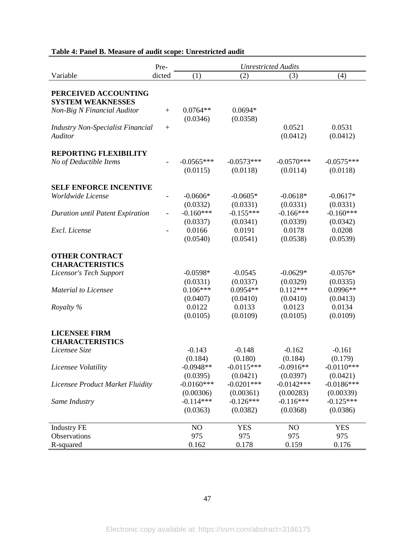| Table 4. I allel D. Measure of audit scope. Onlestricted audit |              |                           |                           |                           |                           |
|----------------------------------------------------------------|--------------|---------------------------|---------------------------|---------------------------|---------------------------|
|                                                                | Pre-         |                           |                           |                           |                           |
| Variable                                                       | dicted       | (1)                       | (2)                       | (3)                       | (4)                       |
| PERCEIVED ACCOUNTING<br><b>SYSTEM WEAKNESSES</b>               |              |                           |                           |                           |                           |
| <b>Non-Big N Financial Auditor</b>                             | $\mathrm{+}$ | $0.0764**$<br>(0.0346)    | $0.0694*$<br>(0.0358)     |                           |                           |
| <b>Industry Non-Specialist Financial</b><br>Auditor            | $+$          |                           |                           | 0.0521<br>(0.0412)        | 0.0531<br>(0.0412)        |
| <b>REPORTING FLEXIBILITY</b>                                   |              |                           |                           |                           |                           |
| No of Deductible Items                                         |              | $-0.0565***$<br>(0.0115)  | $-0.0573***$<br>(0.0118)  | $-0.0570***$<br>(0.0114)  | $-0.0575***$<br>(0.0118)  |
| <b>SELF ENFORCE INCENTIVE</b>                                  |              |                           |                           |                           |                           |
| Worldwide License                                              |              | $-0.0606*$<br>(0.0332)    | $-0.0605*$<br>(0.0331)    | $-0.0618*$<br>(0.0331)    | $-0.0617*$<br>(0.0331)    |
| <b>Duration until Patent Expiration</b>                        |              | $-0.160***$<br>(0.0337)   | $-0.155***$<br>(0.0341)   | $-0.166***$<br>(0.0339)   | $-0.160***$<br>(0.0342)   |
| Excl. License                                                  |              | 0.0166<br>(0.0540)        | 0.0191<br>(0.0541)        | 0.0178<br>(0.0538)        | 0.0208<br>(0.0539)        |
| <b>OTHER CONTRACT</b><br><b>CHARACTERISTICS</b>                |              |                           |                           |                           |                           |
| Licensor's Tech Support                                        |              | $-0.0598*$<br>(0.0331)    | $-0.0545$<br>(0.0337)     | $-0.0629*$<br>(0.0329)    | $-0.0576*$<br>(0.0335)    |
| <b>Material to Licensee</b>                                    |              | $0.106***$<br>(0.0407)    | $0.0954**$<br>(0.0410)    | $0.112***$<br>(0.0410)    | $0.0996**$<br>(0.0413)    |
| Royalty %                                                      |              | 0.0122<br>(0.0105)        | 0.0133<br>(0.0109)        | 0.0123<br>(0.0105)        | 0.0134<br>(0.0109)        |
| <b>LICENSEE FIRM</b><br><b>CHARACTERISTICS</b>                 |              |                           |                           |                           |                           |
| Licensee Size                                                  |              | $-0.143$<br>(0.184)       | $-0.148$<br>(0.180)       | $-0.162$<br>(0.184)       | $-0.161$<br>(0.179)       |
| Licensee Volatility                                            |              | $-0.0948**$<br>(0.0395)   | $-0.0115***$<br>(0.0421)  | $-0.0916**$<br>(0.0397)   | $-0.0110***$<br>(0.0421)  |
| Licensee Product Market Fluidity                               |              | $-0.0160***$<br>(0.00306) | $-0.0201***$<br>(0.00361) | $-0.0142***$<br>(0.00283) | $-0.0186***$<br>(0.00339) |
| Same Industry                                                  |              | $-0.114***$<br>(0.0363)   | $-0.126***$<br>(0.0382)   | $-0.116***$<br>(0.0368)   | $-0.125***$<br>(0.0386)   |
| <b>Industry FE</b>                                             |              | N <sub>O</sub>            | <b>YES</b>                | N <sub>O</sub>            | <b>YES</b>                |
| Observations                                                   |              | 975                       | 975                       | 975                       | 975                       |
| R-squared                                                      |              | 0.162                     | 0.178                     | 0.159                     | 0.176                     |

# **Table 4: Panel B. Measure of audit scope: Unrestricted audit**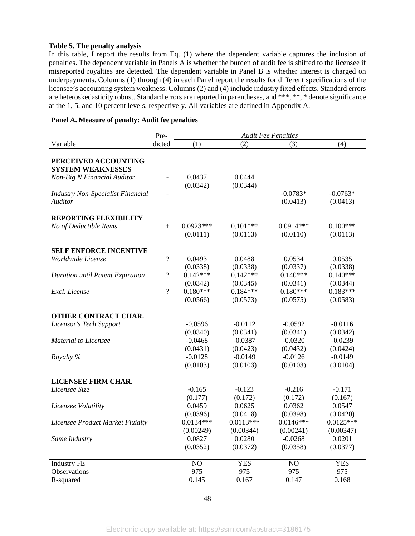#### **Table 5. The penalty analysis**

In this table, I report the results from Eq. (1) where the dependent variable captures the inclusion of penalties. The dependent variable in Panels A is whether the burden of audit fee is shifted to the licensee if misreported royalties are detected. The dependent variable in Panel B is whether interest is charged on underpayments. Columns (1) through (4) in each Panel report the results for different specifications of the licensee's accounting system weakness. Columns (2) and (4) include industry fixed effects. Standard errors are heteroskedasticity robust. Standard errors are reported in parentheses, and \*\*\*, \*\*, \* denote significance at the 1, 5, and 10 percent levels, respectively. All variables are defined in Appendix A.

|                                          | Pre-               |             |             | <b>Audit Fee Penalties</b> |             |
|------------------------------------------|--------------------|-------------|-------------|----------------------------|-------------|
| Variable                                 | dicted             | (1)         | (2)         | (3)                        | (4)         |
|                                          |                    |             |             |                            |             |
| PERCEIVED ACCOUNTING                     |                    |             |             |                            |             |
| <b>SYSTEM WEAKNESSES</b>                 |                    |             |             |                            |             |
| Non-Big N Financial Auditor              |                    | 0.0437      | 0.0444      |                            |             |
|                                          |                    | (0.0342)    | (0.0344)    |                            |             |
| <b>Industry Non-Specialist Financial</b> |                    |             |             | $-0.0783*$                 | $-0.0763*$  |
| Auditor                                  |                    |             |             | (0.0413)                   | (0.0413)    |
|                                          |                    |             |             |                            |             |
| <b>REPORTING FLEXIBILITY</b>             |                    |             |             | $0.0914***$                | $0.100***$  |
| No of Deductible Items                   | $^{+}$             | $0.0923***$ | $0.101***$  |                            |             |
|                                          |                    | (0.0111)    | (0.0113)    | (0.0110)                   | (0.0113)    |
| <b>SELF ENFORCE INCENTIVE</b>            |                    |             |             |                            |             |
| Worldwide License                        | $\overline{\cdot}$ | 0.0493      | 0.0488      | 0.0534                     | 0.0535      |
|                                          |                    | (0.0338)    | (0.0338)    | (0.0337)                   | (0.0338)    |
| <b>Duration until Patent Expiration</b>  | $\overline{\cdot}$ | $0.142***$  | $0.142***$  | $0.140***$                 | $0.140***$  |
|                                          |                    | (0.0342)    | (0.0345)    | (0.0341)                   | (0.0344)    |
| Excl. License                            | $\ddot{?}$         | $0.180***$  | $0.184***$  | $0.180***$                 | $0.183***$  |
|                                          |                    | (0.0566)    | (0.0573)    | (0.0575)                   | (0.0583)    |
| OTHER CONTRACT CHAR.                     |                    |             |             |                            |             |
| Licensor's Tech Support                  |                    | $-0.0596$   | $-0.0112$   | $-0.0592$                  | $-0.0116$   |
|                                          |                    | (0.0340)    | (0.0341)    | (0.0341)                   | (0.0342)    |
| Material to Licensee                     |                    | $-0.0468$   | $-0.0387$   | $-0.0320$                  | $-0.0239$   |
|                                          |                    | (0.0431)    | (0.0423)    | (0.0432)                   | (0.0424)    |
| Royalty %                                |                    | $-0.0128$   | $-0.0149$   | $-0.0126$                  | $-0.0149$   |
|                                          |                    | (0.0103)    | (0.0103)    | (0.0103)                   | (0.0104)    |
|                                          |                    |             |             |                            |             |
| <b>LICENSEE FIRM CHAR.</b>               |                    |             |             |                            |             |
| Licensee Size                            |                    | $-0.165$    | $-0.123$    | $-0.216$                   | $-0.171$    |
|                                          |                    | (0.177)     | (0.172)     | (0.172)                    | (0.167)     |
| Licensee Volatility                      |                    | 0.0459      | 0.0625      | 0.0362                     | 0.0547      |
|                                          |                    | (0.0396)    | (0.0418)    | (0.0398)                   | (0.0420)    |
| Licensee Product Market Fluidity         |                    | $0.0134***$ | $0.0113***$ | $0.0146***$                | $0.0125***$ |
|                                          |                    | (0.00249)   | (0.00344)   | (0.00241)                  | (0.00347)   |
| Same Industry                            |                    | 0.0827      | 0.0280      | $-0.0268$                  | 0.0201      |
|                                          |                    | (0.0352)    | (0.0372)    | (0.0358)                   | (0.0377)    |
| <b>Industry FE</b>                       |                    | NO          | <b>YES</b>  | NO                         | <b>YES</b>  |
| Observations                             |                    | 975         | 975         | 975                        | 975         |
| R-squared                                |                    | 0.145       | 0.167       | 0.147                      | 0.168       |

# **Panel A. Measure of penalty: Audit fee penalties**

48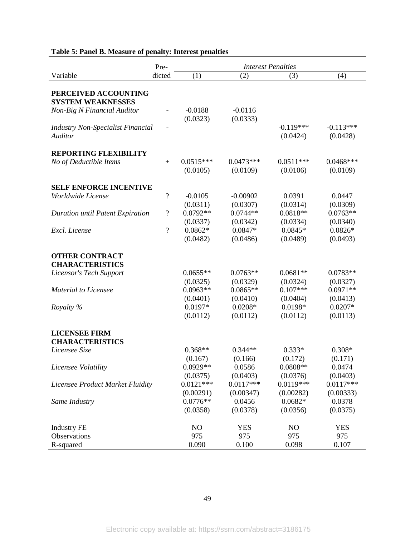| Table 5: Panel B. Measure of penalty: Interest penalties |  |  |  |  |  |
|----------------------------------------------------------|--|--|--|--|--|
|----------------------------------------------------------|--|--|--|--|--|

|                                                     | Pre-                     | <b>Interest Penalties</b> |             |             |             |  |
|-----------------------------------------------------|--------------------------|---------------------------|-------------|-------------|-------------|--|
| Variable                                            | dicted                   | (1)                       | (2)         | (3)         | (4)         |  |
|                                                     |                          |                           |             |             |             |  |
| PERCEIVED ACCOUNTING                                |                          |                           |             |             |             |  |
| <b>SYSTEM WEAKNESSES</b>                            |                          |                           |             |             |             |  |
| <b>Non-Big N Financial Auditor</b>                  |                          | $-0.0188$                 | $-0.0116$   |             |             |  |
|                                                     |                          | (0.0323)                  | (0.0333)    | $-0.119***$ |             |  |
| <b>Industry Non-Specialist Financial</b><br>Auditor | $\overline{\phantom{a}}$ |                           |             | (0.0424)    | $-0.113***$ |  |
|                                                     |                          |                           |             |             | (0.0428)    |  |
| <b>REPORTING FLEXIBILITY</b>                        |                          |                           |             |             |             |  |
| No of Deductible Items                              | $+$                      | $0.0515***$               | $0.0473***$ | $0.0511***$ | $0.0468***$ |  |
|                                                     |                          | (0.0105)                  | (0.0109)    | (0.0106)    | (0.0109)    |  |
|                                                     |                          |                           |             |             |             |  |
| <b>SELF ENFORCE INCENTIVE</b>                       |                          |                           |             |             |             |  |
| Worldwide License                                   | $\overline{?}$           | $-0.0105$                 | $-0.00902$  | 0.0391      | 0.0447      |  |
|                                                     |                          | (0.0311)                  | (0.0307)    | (0.0314)    | (0.0309)    |  |
| <b>Duration until Patent Expiration</b>             | $\boldsymbol{?}$         | $0.0792**$                | $0.0744**$  | $0.0818**$  | $0.0763**$  |  |
|                                                     |                          | (0.0337)                  | (0.0342)    | (0.0334)    | (0.0340)    |  |
| Excl. License                                       | $\overline{?}$           | $0.0862*$                 | $0.0847*$   | $0.0845*$   | $0.0826*$   |  |
|                                                     |                          | (0.0482)                  | (0.0486)    | (0.0489)    | (0.0493)    |  |
|                                                     |                          |                           |             |             |             |  |
| <b>OTHER CONTRACT</b>                               |                          |                           |             |             |             |  |
| <b>CHARACTERISTICS</b>                              |                          |                           |             |             |             |  |
| Licensor's Tech Support                             |                          | $0.0655**$                | $0.0763**$  | $0.0681**$  | $0.0783**$  |  |
|                                                     |                          | (0.0325)                  | (0.0329)    | (0.0324)    | (0.0327)    |  |
| <b>Material to Licensee</b>                         |                          | $0.0963**$                | $0.0865**$  | $0.107***$  | $0.0971**$  |  |
|                                                     |                          | (0.0401)                  | (0.0410)    | (0.0404)    | (0.0413)    |  |
| Royalty %                                           |                          | $0.0197*$                 | $0.0208*$   | 0.0198*     | $0.0207*$   |  |
|                                                     |                          | (0.0112)                  | (0.0112)    | (0.0112)    | (0.0113)    |  |
|                                                     |                          |                           |             |             |             |  |
| <b>LICENSEE FIRM</b>                                |                          |                           |             |             |             |  |
| <b>CHARACTERISTICS</b>                              |                          |                           |             |             |             |  |
| Licensee Size                                       |                          | $0.368**$                 | $0.344**$   | $0.333*$    | $0.308*$    |  |
|                                                     |                          | (0.167)                   | (0.166)     | (0.172)     | (0.171)     |  |
| Licensee Volatility                                 |                          | $0.0929**$                | 0.0586      | $0.0808**$  | 0.0474      |  |
|                                                     |                          | (0.0375)                  | (0.0403)    | (0.0376)    | (0.0403)    |  |
| Licensee Product Market Fluidity                    |                          | $0.0121***$               | $0.0117***$ | $0.0119***$ | $0.0117***$ |  |
|                                                     |                          | (0.00291)                 | (0.00347)   | (0.00282)   | (0.00333)   |  |
| Same Industry                                       |                          | $0.0776**$                | 0.0456      | $0.0682*$   | 0.0378      |  |
|                                                     |                          | (0.0358)                  | (0.0378)    | (0.0356)    | (0.0375)    |  |
| <b>Industry FE</b>                                  |                          | N <sub>O</sub>            | <b>YES</b>  | NO          | <b>YES</b>  |  |
| Observations                                        |                          | 975                       | 975         | 975         | 975         |  |
| R-squared                                           |                          | 0.090                     | 0.100       | 0.098       | 0.107       |  |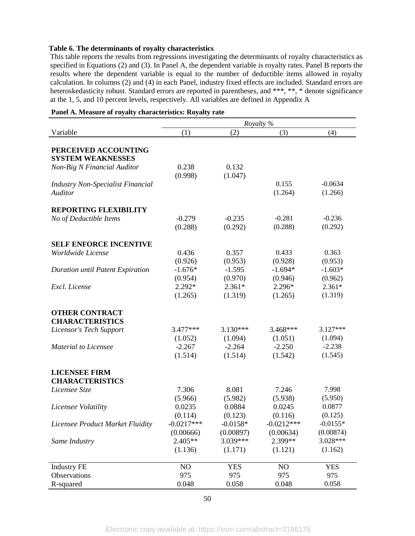## **Table 6. The determinants of royalty characteristics**

This table reports the results from regressions investigating the determinants of royalty characteristics as specified in Equations (2) and (3). In Panel A, the dependent variable is royalty rates. Panel B reports the results where the dependent variable is equal to the number of deductible items allowed in royalty calculation. In columns (2) and (4) in each Panel, industry fixed effects are included. Standard errors are heteroskedasticity robust. Standard errors are reported in parentheses, and \*\*\*, \*\*, \* denote significance at the 1, 5, and 10 percent levels, respectively. All variables are defined in Appendix A

|                                          | Royalty %      |            |              |            |  |  |
|------------------------------------------|----------------|------------|--------------|------------|--|--|
| Variable                                 | (1)            | (2)        | (3)          | (4)        |  |  |
|                                          |                |            |              |            |  |  |
| PERCEIVED ACCOUNTING                     |                |            |              |            |  |  |
| <b>SYSTEM WEAKNESSES</b>                 |                |            |              |            |  |  |
| <b>Non-Big N Financial Auditor</b>       | 0.238          | 0.132      |              |            |  |  |
|                                          | (0.998)        | (1.047)    |              |            |  |  |
| <b>Industry Non-Specialist Financial</b> |                |            | 0.155        | $-0.0634$  |  |  |
| Auditor                                  |                |            | (1.264)      | (1.266)    |  |  |
|                                          |                |            |              |            |  |  |
| <b>REPORTING FLEXIBILITY</b>             |                |            |              |            |  |  |
| No of Deductible Items                   | $-0.279$       | $-0.235$   | $-0.281$     | $-0.236$   |  |  |
|                                          | (0.288)        | (0.292)    | (0.288)      | (0.292)    |  |  |
| <b>SELF ENFORCE INCENTIVE</b>            |                |            |              |            |  |  |
| Worldwide License                        | 0.436          | 0.357      | 0.433        | 0.363      |  |  |
|                                          | (0.926)        | (0.953)    | (0.928)      | (0.953)    |  |  |
| <b>Duration until Patent Expiration</b>  | $-1.676*$      | $-1.595$   | $-1.694*$    | $-1.603*$  |  |  |
|                                          | (0.954)        | (0.970)    | (0.946)      | (0.962)    |  |  |
| Excl. License                            | $2.292*$       | $2.361*$   | $2.296*$     | $2.361*$   |  |  |
|                                          | (1.265)        | (1.319)    | (1.265)      | (1.319)    |  |  |
|                                          |                |            |              |            |  |  |
| <b>OTHER CONTRACT</b>                    |                |            |              |            |  |  |
| <b>CHARACTERISTICS</b>                   |                |            |              |            |  |  |
| Licensor's Tech Support                  | $3.477***$     | $3.130***$ | 3.468***     | 3.127***   |  |  |
|                                          | (1.052)        | (1.094)    | (1.051)      | (1.094)    |  |  |
| <b>Material to Licensee</b>              | $-2.267$       | $-2.264$   | $-2.250$     | $-2.238$   |  |  |
|                                          | (1.514)        | (1.514)    | (1.542)      | (1.545)    |  |  |
| <b>LICENSEE FIRM</b>                     |                |            |              |            |  |  |
| <b>CHARACTERISTICS</b>                   |                |            |              |            |  |  |
| Licensee Size                            | 7.306          | 8.081      | 7.246        | 7.998      |  |  |
|                                          | (5.966)        | (5.982)    | (5.938)      | (5.950)    |  |  |
| Licensee Volatility                      | 0.0235         | 0.0884     | 0.0245       | 0.0877     |  |  |
|                                          | (0.114)        | (0.123)    | (0.116)      | (0.125)    |  |  |
| Licensee Product Market Fluidity         | $-0.0217***$   | $-0.0158*$ | $-0.0212***$ | $-0.0155*$ |  |  |
|                                          | (0.00666)      | (0.00897)  | (0.00634)    | (0.00874)  |  |  |
| Same Industry                            | $2.405**$      | 3.039***   | 2.399**      | 3.028***   |  |  |
|                                          | (1.136)        | (1.171)    | (1.121)      | (1.162)    |  |  |
|                                          |                |            |              |            |  |  |
| <b>Industry FE</b>                       | N <sub>O</sub> | <b>YES</b> | NO           | <b>YES</b> |  |  |
| Observations                             | 975            | 975        | 975          | 975        |  |  |
| R-squared                                | 0.048          | 0.058      | 0.048        | 0.058      |  |  |

**Panel A. Measure of royalty characteristics: Royalty rate**

50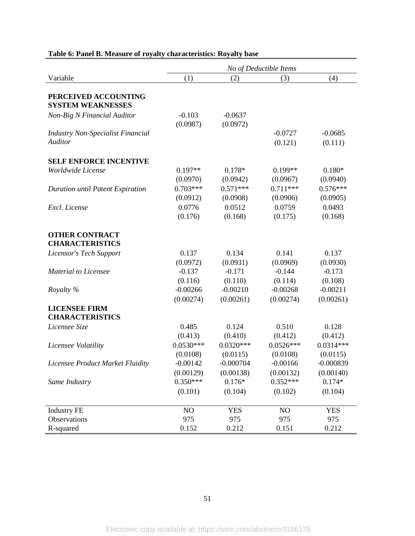|                                          | No of Deductible Items |             |             |             |  |
|------------------------------------------|------------------------|-------------|-------------|-------------|--|
| Variable                                 | (1)                    | (2)         | (3)         | (4)         |  |
| PERCEIVED ACCOUNTING                     |                        |             |             |             |  |
| <b>SYSTEM WEAKNESSES</b>                 |                        |             |             |             |  |
| <b>Non-Big N Financial Auditor</b>       | $-0.103$               | $-0.0637$   |             |             |  |
|                                          | (0.0987)               | (0.0972)    |             |             |  |
| <b>Industry Non-Specialist Financial</b> |                        |             | $-0.0727$   | $-0.0685$   |  |
| Auditor                                  |                        |             | (0.121)     | (0.111)     |  |
| <b>SELF ENFORCE INCENTIVE</b>            |                        |             |             |             |  |
| Worldwide License                        | $0.197**$              | $0.178*$    | $0.199**$   | $0.180*$    |  |
|                                          | (0.0970)               | (0.0942)    | (0.0967)    | (0.0940)    |  |
| <b>Duration until Patent Expiration</b>  | $0.703***$             | $0.571***$  | $0.711***$  | $0.576***$  |  |
|                                          | (0.0912)               | (0.0908)    | (0.0906)    | (0.0905)    |  |
| Excl. License                            | 0.0776                 | 0.0512      | 0.0759      | 0.0493      |  |
|                                          | (0.176)                | (0.168)     | (0.175)     | (0.168)     |  |
| <b>OTHER CONTRACT</b>                    |                        |             |             |             |  |
| <b>CHARACTERISTICS</b>                   |                        |             |             |             |  |
| Licensor's Tech Support                  | 0.137                  | 0.134       | 0.141       | 0.137       |  |
|                                          | (0.0972)               | (0.0931)    | (0.0969)    | (0.0930)    |  |
| <b>Material to Licensee</b>              | $-0.137$               | $-0.171$    | $-0.144$    | $-0.173$    |  |
|                                          | (0.116)                | (0.110)     | (0.114)     | (0.108)     |  |
| Royalty %                                | $-0.00266$             | $-0.00210$  | $-0.00268$  | $-0.00211$  |  |
|                                          | (0.00274)              | (0.00261)   | (0.00274)   | (0.00261)   |  |
| <b>LICENSEE FIRM</b>                     |                        |             |             |             |  |
| <b>CHARACTERISTICS</b>                   |                        |             |             |             |  |
| Licensee Size                            | 0.485                  | 0.124       | 0.510       | 0.128       |  |
|                                          | (0.413)                | (0.410)     | (0.412)     | (0.412)     |  |
| Licensee Volatility                      | $0.0530***$            | $0.0320***$ | $0.0526***$ | $0.0314***$ |  |
|                                          | (0.0108)               | (0.0115)    | (0.0108)    | (0.0115)    |  |
| Licensee Product Market Fluidity         | $-0.00142$             | $-0.000704$ | $-0.00166$  | $-0.000839$ |  |
|                                          | (0.00129)              | (0.00138)   | (0.00132)   | (0.00140)   |  |
| Same Industry                            | $0.350***$             | $0.176*$    | $0.352***$  | $0.174*$    |  |
|                                          | (0.101)                | (0.104)     | (0.102)     | (0.104)     |  |
| <b>Industry FE</b>                       | NO                     | <b>YES</b>  | NO          | <b>YES</b>  |  |
| Observations                             | 975                    | 975         | 975         | 975         |  |
| R-squared                                | 0.152                  | 0.212       | 0.151       | 0.212       |  |

# **Table 6: Panel B. Measure of royalty characteristics: Royalty base**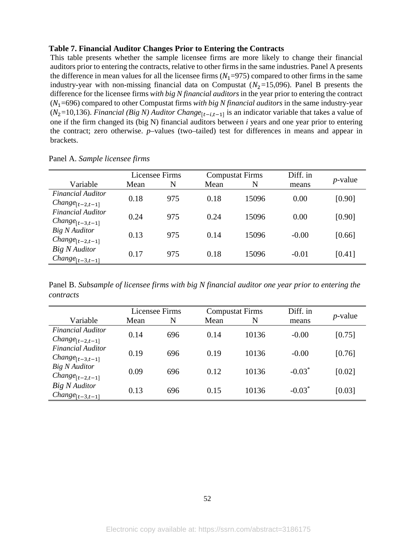# **Table 7. Financial Auditor Changes Prior to Entering the Contracts**

This table presents whether the sample licensee firms are more likely to change their financial auditors prior to entering the contracts, relative to other firms in the same industries. Panel A presents the difference in mean values for all the licensee firms  $(N_1=975)$  compared to other firms in the same industry-year with non-missing financial data on Compustat ( $N_2$ =15,096). Panel B presents the difference for the licensee firms *with big N financial auditors* in the year prior to entering the contract  $(N_1=696)$  compared to other Compustat firms *with big N financial auditors* in the same industry-year ( $N_2$ =10,136). *Financial (Big N) Auditor Change*<sub>[t-i,t-1]</sub> is an indicator variable that takes a value of one if the firm changed its (big N) financial auditors between *i* years and one year prior to entering the contract; zero otherwise. *p*–values (two–tailed) test for differences in means and appear in brackets.

|                                                  |      | Licensee Firms |      | <b>Compustat Firms</b> | Diff. in | $p$ -value |
|--------------------------------------------------|------|----------------|------|------------------------|----------|------------|
| Variable                                         | Mean | N              | Mean | N                      | means    |            |
| <b>Financial Auditor</b><br>$Change_{[t-2,t-1]}$ | 0.18 | 975            | 0.18 | 15096                  | 0.00     | [0.90]     |
| <b>Financial Auditor</b><br>$Change_{[t-3,t-1]}$ | 0.24 | 975            | 0.24 | 15096                  | 0.00     | [0.90]     |
| <b>Big N</b> Auditor<br>$Change_{[t-2,t-1]}$     | 0.13 | 975            | 0.14 | 15096                  | $-0.00$  | [0.66]     |
| <b>Big N</b> Auditor<br>$Change_{[t-3,t-1]}$     | 0.17 | 975            | 0.18 | 15096                  | $-0.01$  | [0.41]     |

Panel A. *Sample licensee firms*

Panel B. *Subsample of licensee firms with big N financial auditor one year prior to entering the contracts*

|                                                  | Licensee Firms |     | <b>Compustat Firms</b> |       | Diff. in  | $p$ -value |
|--------------------------------------------------|----------------|-----|------------------------|-------|-----------|------------|
| Variable                                         | Mean           | N   | Mean                   | N     | means     |            |
| <b>Financial Auditor</b><br>$Change_{[t-2,t-1]}$ | 0.14           | 696 | 0.14                   | 10136 | $-0.00$   | [0.75]     |
| <b>Financial Auditor</b><br>$Change_{[t-3,t-1]}$ | 0.19           | 696 | 0.19                   | 10136 | $-0.00$   | [0.76]     |
| <b>Big N</b> Auditor<br>$Change_{[t-2,t-1]}$     | 0.09           | 696 | 0.12                   | 10136 | $-0.03^*$ | [0.02]     |
| <b>Big N</b> Auditor<br>$Change_{[t-3,t-1]}$     | 0.13           | 696 | 0.15                   | 10136 | $-0.03*$  | [0.03]     |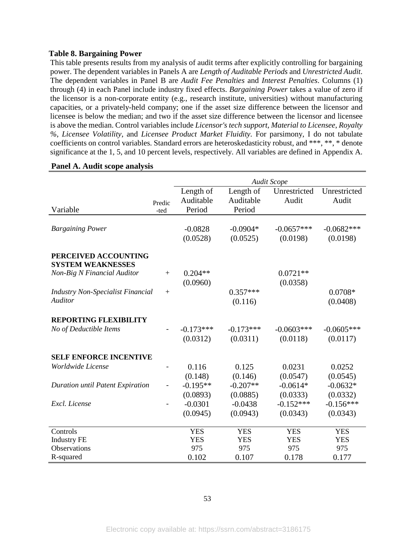# **Table 8. Bargaining Power**

This table presents results from my analysis of audit terms after explicitly controlling for bargaining power. The dependent variables in Panels A are *Length of Auditable Periods* and *Unrestricted Audit*. The dependent variables in Panel B are *Audit Fee Penalties* and *Interest Penalties*. Columns (1) through (4) in each Panel include industry fixed effects. *Bargaining Power* takes a value of zero if the licensor is a non-corporate entity (e.g., research institute, universities) without manufacturing capacities, or a privately-held company; one if the asset size difference between the licensor and licensee is below the median; and two if the asset size difference between the licensor and licensee is above the median. Control variables include *Licensor's tech support*, *Material to Licensee*, *Royalty %*, *Licensee Volatility*, and *Licensee Product Market Fluidity.* For parsimony, I do not tabulate coefficients on control variables. Standard errors are heteroskedasticity robust, and \*\*\*, \*\*, \* denote significance at the 1, 5, and 10 percent levels, respectively. All variables are defined in Appendix A.

|                                                  |        | <b>Audit Scope</b> |             |              |              |
|--------------------------------------------------|--------|--------------------|-------------|--------------|--------------|
|                                                  |        | Length of          | Length of   | Unrestricted | Unrestricted |
|                                                  | Predic | Auditable          | Auditable   | Audit        | Audit        |
| Variable                                         | -ted   | Period             | Period      |              |              |
|                                                  |        |                    |             |              |              |
| <b>Bargaining Power</b>                          |        | $-0.0828$          | $-0.0904*$  | $-0.0657***$ | $-0.0682***$ |
|                                                  |        | (0.0528)           | (0.0525)    | (0.0198)     | (0.0198)     |
|                                                  |        |                    |             |              |              |
| PERCEIVED ACCOUNTING<br><b>SYSTEM WEAKNESSES</b> |        |                    |             |              |              |
| <b>Non-Big N Financial Auditor</b>               | $+$    | $0.204**$          |             | $0.0721**$   |              |
|                                                  |        | (0.0960)           |             | (0.0358)     |              |
| <b>Industry Non-Specialist Financial</b>         | $+$    |                    | $0.357***$  |              | $0.0708*$    |
| Auditor                                          |        |                    | (0.116)     |              | (0.0408)     |
|                                                  |        |                    |             |              |              |
| <b>REPORTING FLEXIBILITY</b>                     |        |                    |             |              |              |
| No of Deductible Items                           |        | $-0.173***$        | $-0.173***$ | $-0.0603***$ | $-0.0605***$ |
|                                                  |        | (0.0312)           | (0.0311)    | (0.0118)     | (0.0117)     |
| <b>SELF ENFORCE INCENTIVE</b>                    |        |                    |             |              |              |
| Worldwide License                                |        | 0.116              | 0.125       | 0.0231       | 0.0252       |
|                                                  |        | (0.148)            | (0.146)     | (0.0547)     | (0.0545)     |
| <b>Duration until Patent Expiration</b>          |        | $-0.195**$         | $-0.207**$  | $-0.0614*$   | $-0.0632*$   |
|                                                  |        | (0.0893)           | (0.0885)    | (0.0333)     | (0.0332)     |
| Excl. License                                    |        | $-0.0301$          | $-0.0438$   | $-0.152***$  | $-0.156***$  |
|                                                  |        | (0.0945)           | (0.0943)    | (0.0343)     | (0.0343)     |
|                                                  |        |                    |             |              |              |
| Controls                                         |        | <b>YES</b>         | <b>YES</b>  | <b>YES</b>   | <b>YES</b>   |
| <b>Industry FE</b>                               |        | <b>YES</b>         | <b>YES</b>  | <b>YES</b>   | <b>YES</b>   |
| <b>Observations</b>                              |        | 975                | 975         | 975          | 975          |
| R-squared                                        |        | 0.102              | 0.107       | 0.178        | 0.177        |

#### **Panel A. Audit scope analysis**

53